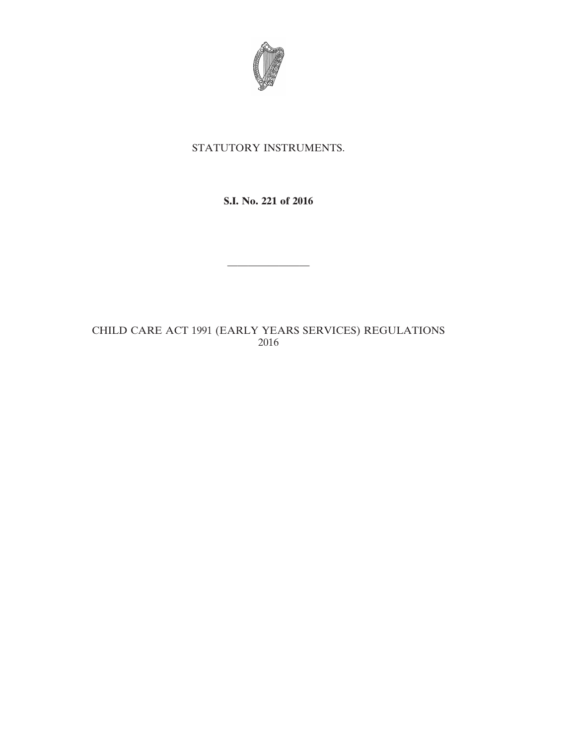

# STATUTORY INSTRUMENTS.

# **S.I. No. 221 of 2016**

————————

# CHILD CARE ACT 1991 (EARLY YEARS SERVICES) REGULATIONS 2016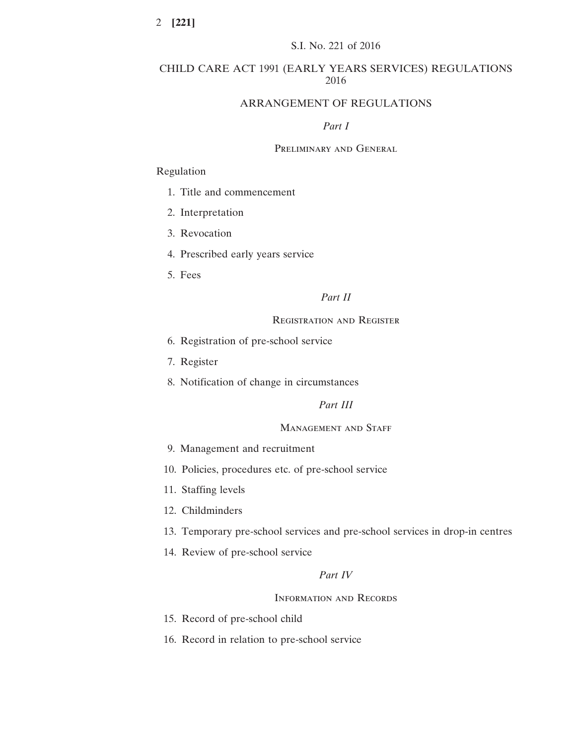# CHILD CARE ACT 1991 (EARLY YEARS SERVICES) REGULATIONS 2016

# ARRANGEMENT OF REGULATIONS

#### *Part I*

## Preliminary and General

#### Regulation

- 1. Title and commencement
- 2. Interpretation
- 3. Revocation
- 4. Prescribed early years service
- 5. Fees

# *Part II*

# Registration and Register

- 6. Registration of pre-school service
- 7. Register
- 8. Notification of change in circumstances

# *Part III*

#### MANAGEMENT AND STAFF

- 9. Management and recruitment
- 10. Policies, procedures etc. of pre-school service
- 11. Staffing levels
- 12. Childminders
- 13. Temporary pre-school services and pre-school services in drop-in centres
- 14. Review of pre-school service

# *Part IV*

#### Information and Records

- 15. Record of pre-school child
- 16. Record in relation to pre-school service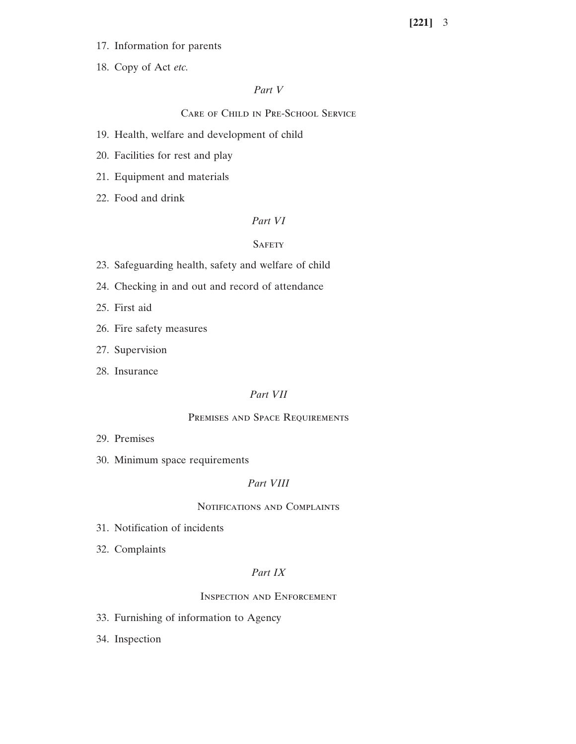- 17. Information for parents
- 18. Copy of Act *etc.*

#### *Part V*

# Care of Child in Pre-School Service

- 19. Health, welfare and development of child
- 20. Facilities for rest and play
- 21. Equipment and materials
- 22. Food and drink

#### *Part VI*

## **SAFETY**

- 23. Safeguarding health, safety and welfare of child
- 24. Checking in and out and record of attendance
- 25. First aid
- 26. Fire safety measures
- 27. Supervision
- 28. Insurance

#### *Part VII*

#### Premises and Space Requirements

- 29. Premises
- 30. Minimum space requirements

# *Part VIII*

#### Notifications and Complaints

- 31. Notification of incidents
- 32. Complaints

# *Part IX*

#### Inspection and Enforcement

- 33. Furnishing of information to Agency
- 34. Inspection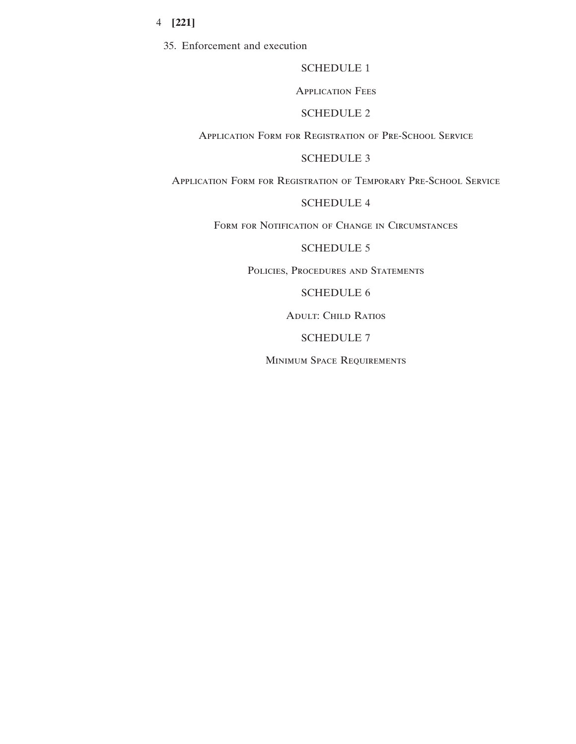35. Enforcement and execution

# SCHEDULE 1

#### Application Fees

## SCHEDULE 2

# Application Form for Registration of Pre-School Service

# SCHEDULE 3

Application Form for Registration of Temporary Pre-School Service

# SCHEDULE 4

FORM FOR NOTIFICATION OF CHANGE IN CIRCUMSTANCES

# SCHEDULE 5

POLICIES, PROCEDURES AND STATEMENTS

#### SCHEDULE 6

Adult: Child Ratios

## SCHEDULE 7

Minimum Space Requirements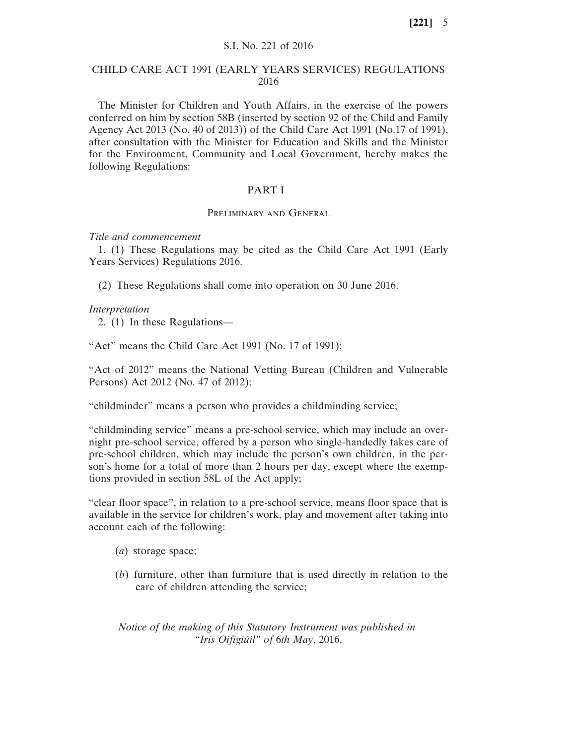#### S.I. No. 221 of 2016

#### CHILD CARE ACT 1991 (EARLY YEARS SERVICES) REGULATIONS 2016

The Minister for Children and Youth Affairs, in the exercise of the powers conferred on him by section 58B (inserted by section 92 of the Child and Family Agency Act 2013 (No. 40 of 2013)) of the Child Care Act 1991 (No.17 of 1991), after consultation with the Minister for Education and Skills and the Minister for the Environment, Community and Local Government, hereby makes the following Regulations:

#### PART I

#### Preliminary and General

#### *Title and commencement*

1. (1) These Regulations may be cited as the Child Care Act 1991 (Early Years Services) Regulations 2016.

(2) These Regulations shall come into operation on 30 June 2016.

#### *Interpretation*

2. (1) In these Regulations—

"Act" means the Child Care Act 1991 (No. 17 of 1991);

"Act of 2012" means the National Vetting Bureau (Children and Vulnerable Persons) Act 2012 (No. 47 of 2012);

"childminder" means a person who provides a childminding service;

"childminding service" means a pre-school service, which may include an overnight pre-school service, offered by a person who single-handedly takes care of pre-school children, which may include the person's own children, in the person's home for a total of more than 2 hours per day, except where the exemptions provided in section 58L of the Act apply;

"clear floor space", in relation to a pre-school service, means floor space that is available in the service for children's work, play and movement after taking into account each of the following:

- (*a*) storage space;
- (*b*) furniture, other than furniture that is used directly in relation to the care of children attending the service;

*Notice of the making of this Statutory Instrument was published in "Iris Oifigiúil" of* 6*th May*, 2016.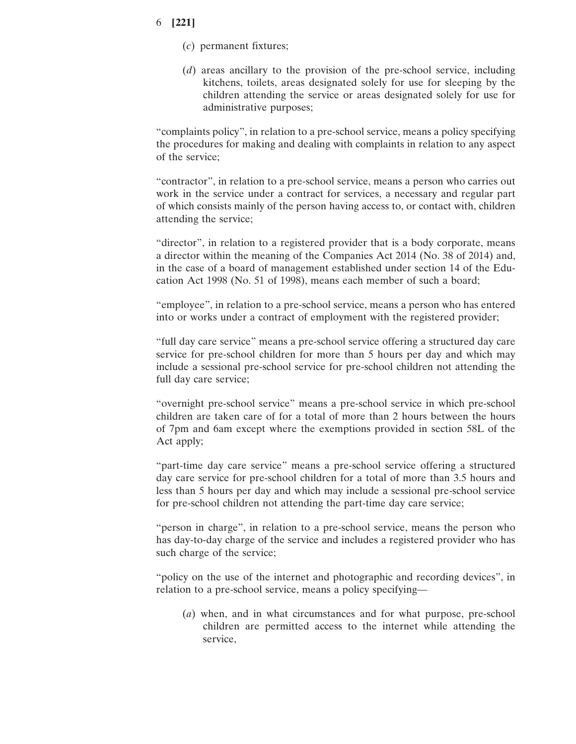- (*c*) permanent fixtures;
- (*d*) areas ancillary to the provision of the pre-school service, including kitchens, toilets, areas designated solely for use for sleeping by the children attending the service or areas designated solely for use for administrative purposes;

"complaints policy", in relation to a pre-school service, means a policy specifying the procedures for making and dealing with complaints in relation to any aspect of the service;

"contractor", in relation to a pre-school service, means a person who carries out work in the service under a contract for services, a necessary and regular part of which consists mainly of the person having access to, or contact with, children attending the service;

"director", in relation to a registered provider that is a body corporate, means a director within the meaning of the Companies Act 2014 (No. 38 of 2014) and, in the case of a board of management established under section 14 of the Education Act 1998 (No. 51 of 1998), means each member of such a board;

"employee", in relation to a pre-school service, means a person who has entered into or works under a contract of employment with the registered provider;

"full day care service" means a pre-school service offering a structured day care service for pre-school children for more than 5 hours per day and which may include a sessional pre-school service for pre-school children not attending the full day care service;

"overnight pre-school service" means a pre-school service in which pre-school children are taken care of for a total of more than 2 hours between the hours of 7pm and 6am except where the exemptions provided in section 58L of the Act apply;

"part-time day care service" means a pre-school service offering a structured day care service for pre-school children for a total of more than 3.5 hours and less than 5 hours per day and which may include a sessional pre-school service for pre-school children not attending the part-time day care service;

"person in charge", in relation to a pre-school service, means the person who has day-to-day charge of the service and includes a registered provider who has such charge of the service;

"policy on the use of the internet and photographic and recording devices", in relation to a pre-school service, means a policy specifying—

(*a*) when, and in what circumstances and for what purpose, pre-school children are permitted access to the internet while attending the service,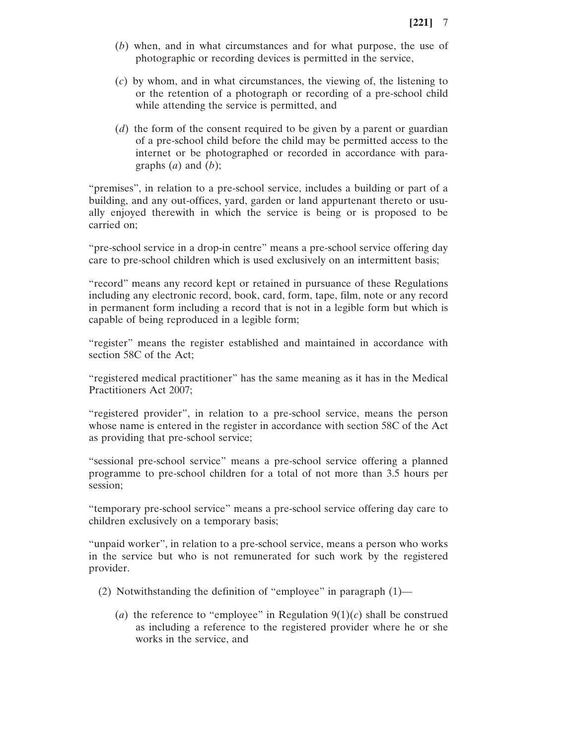- (*b*) when, and in what circumstances and for what purpose, the use of photographic or recording devices is permitted in the service,
- (*c*) by whom, and in what circumstances, the viewing of, the listening to or the retention of a photograph or recording of a pre-school child while attending the service is permitted, and
- (*d*) the form of the consent required to be given by a parent or guardian of a pre-school child before the child may be permitted access to the internet or be photographed or recorded in accordance with paragraphs  $(a)$  and  $(b)$ ;

"premises", in relation to a pre-school service, includes a building or part of a building, and any out-offices, yard, garden or land appurtenant thereto or usually enjoyed therewith in which the service is being or is proposed to be carried on;

"pre-school service in a drop-in centre" means a pre-school service offering day care to pre-school children which is used exclusively on an intermittent basis;

"record" means any record kept or retained in pursuance of these Regulations including any electronic record, book, card, form, tape, film, note or any record in permanent form including a record that is not in a legible form but which is capable of being reproduced in a legible form;

"register" means the register established and maintained in accordance with section 58C of the Act;

"registered medical practitioner" has the same meaning as it has in the Medical Practitioners Act 2007;

"registered provider", in relation to a pre-school service, means the person whose name is entered in the register in accordance with section 58C of the Act as providing that pre-school service;

"sessional pre-school service" means a pre-school service offering a planned programme to pre-school children for a total of not more than 3.5 hours per session;

"temporary pre-school service" means a pre-school service offering day care to children exclusively on a temporary basis;

"unpaid worker", in relation to a pre-school service, means a person who works in the service but who is not remunerated for such work by the registered provider.

- (2) Notwithstanding the definition of "employee" in paragraph  $(1)$ 
	- (*a*) the reference to "employee" in Regulation  $9(1)(c)$  shall be construed as including a reference to the registered provider where he or she works in the service, and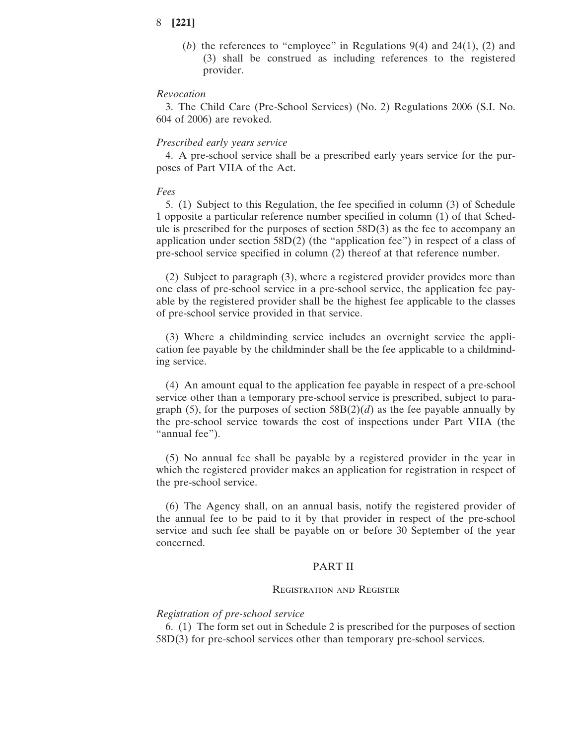(*b*) the references to "employee" in Regulations 9(4) and 24(1), (2) and (3) shall be construed as including references to the registered provider.

#### *Revocation*

3. The Child Care (Pre-School Services) (No. 2) Regulations 2006 (S.I. No. 604 of 2006) are revoked.

#### *Prescribed early years service*

4. A pre-school service shall be a prescribed early years service for the purposes of Part VIIA of the Act.

#### *Fees*

5. (1) Subject to this Regulation, the fee specified in column (3) of Schedule 1 opposite a particular reference number specified in column (1) of that Schedule is prescribed for the purposes of section  $58D(3)$  as the fee to accompany an application under section 58D(2) (the "application fee") in respect of a class of pre-school service specified in column (2) thereof at that reference number.

(2) Subject to paragraph (3), where a registered provider provides more than one class of pre-school service in a pre-school service, the application fee payable by the registered provider shall be the highest fee applicable to the classes of pre-school service provided in that service.

(3) Where a childminding service includes an overnight service the application fee payable by the childminder shall be the fee applicable to a childminding service.

(4) An amount equal to the application fee payable in respect of a pre-school service other than a temporary pre-school service is prescribed, subject to paragraph (5), for the purposes of section  $58B(2)(d)$  as the fee payable annually by the pre-school service towards the cost of inspections under Part VIIA (the "annual fee").

(5) No annual fee shall be payable by a registered provider in the year in which the registered provider makes an application for registration in respect of the pre-school service.

(6) The Agency shall, on an annual basis, notify the registered provider of the annual fee to be paid to it by that provider in respect of the pre-school service and such fee shall be payable on or before 30 September of the year concerned.

### PART II

#### Registration and Register

#### *Registration of pre-school service*

6. (1) The form set out in Schedule 2 is prescribed for the purposes of section 58D(3) for pre-school services other than temporary pre-school services.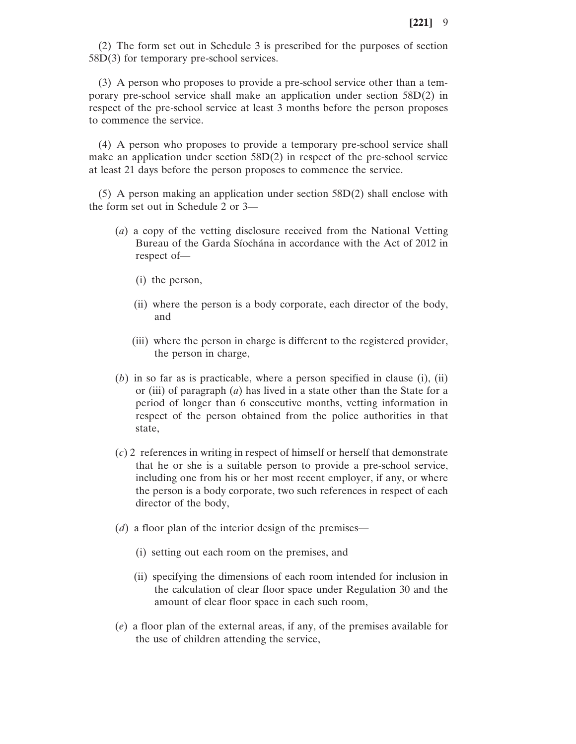(2) The form set out in Schedule 3 is prescribed for the purposes of section 58D(3) for temporary pre-school services.

(3) A person who proposes to provide a pre-school service other than a temporary pre-school service shall make an application under section 58D(2) in respect of the pre-school service at least 3 months before the person proposes to commence the service.

(4) A person who proposes to provide a temporary pre-school service shall make an application under section 58D(2) in respect of the pre-school service at least 21 days before the person proposes to commence the service.

(5) A person making an application under section 58D(2) shall enclose with the form set out in Schedule 2 or 3—

- (*a*) a copy of the vetting disclosure received from the National Vetting Bureau of the Garda Síochána in accordance with the Act of 2012 in respect of—
	- (i) the person,
	- (ii) where the person is a body corporate, each director of the body, and
	- (iii) where the person in charge is different to the registered provider, the person in charge,
- (*b*) in so far as is practicable, where a person specified in clause (i), (ii) or (iii) of paragraph (*a*) has lived in a state other than the State for a period of longer than 6 consecutive months, vetting information in respect of the person obtained from the police authorities in that state,
- (*c*) 2 references in writing in respect of himself or herself that demonstrate that he or she is a suitable person to provide a pre-school service, including one from his or her most recent employer, if any, or where the person is a body corporate, two such references in respect of each director of the body,
- (*d*) a floor plan of the interior design of the premises—
	- (i) setting out each room on the premises, and
	- (ii) specifying the dimensions of each room intended for inclusion in the calculation of clear floor space under Regulation 30 and the amount of clear floor space in each such room,
- (*e*) a floor plan of the external areas, if any, of the premises available for the use of children attending the service,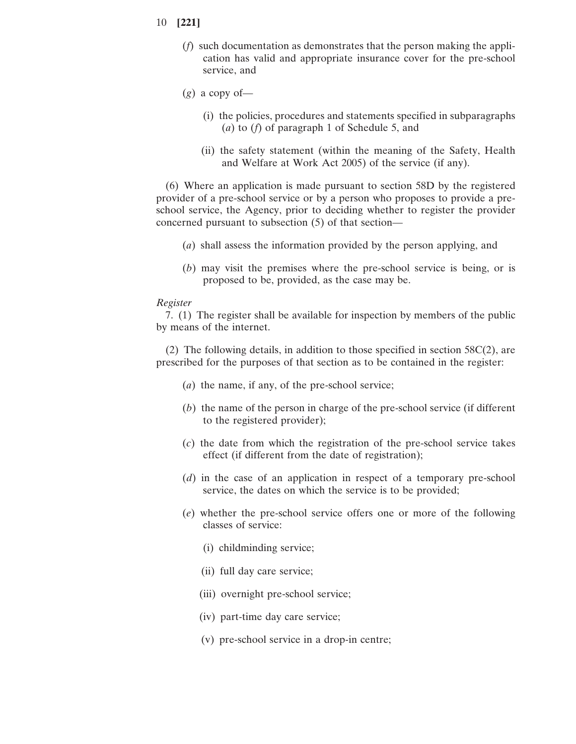- 10 **[221]**
	- (*f*) such documentation as demonstrates that the person making the application has valid and appropriate insurance cover for the pre-school service, and
	- $(g)$  a copy of-
		- (i) the policies, procedures and statements specified in subparagraphs (*a*) to (*f*) of paragraph 1 of Schedule 5, and
		- (ii) the safety statement (within the meaning of the Safety, Health and Welfare at Work Act 2005) of the service (if any).

(6) Where an application is made pursuant to section 58D by the registered provider of a pre-school service or by a person who proposes to provide a preschool service, the Agency, prior to deciding whether to register the provider concerned pursuant to subsection (5) of that section—

- (*a*) shall assess the information provided by the person applying, and
- (*b*) may visit the premises where the pre-school service is being, or is proposed to be, provided, as the case may be.

#### *Register*

7. (1) The register shall be available for inspection by members of the public by means of the internet.

(2) The following details, in addition to those specified in section 58C(2), are prescribed for the purposes of that section as to be contained in the register:

- (*a*) the name, if any, of the pre-school service;
- (*b*) the name of the person in charge of the pre-school service (if different to the registered provider);
- (*c*) the date from which the registration of the pre-school service takes effect (if different from the date of registration);
- (*d*) in the case of an application in respect of a temporary pre-school service, the dates on which the service is to be provided;
- (*e*) whether the pre-school service offers one or more of the following classes of service:
	- (i) childminding service;
	- (ii) full day care service;
	- (iii) overnight pre-school service;
	- (iv) part-time day care service;
	- (v) pre-school service in a drop-in centre;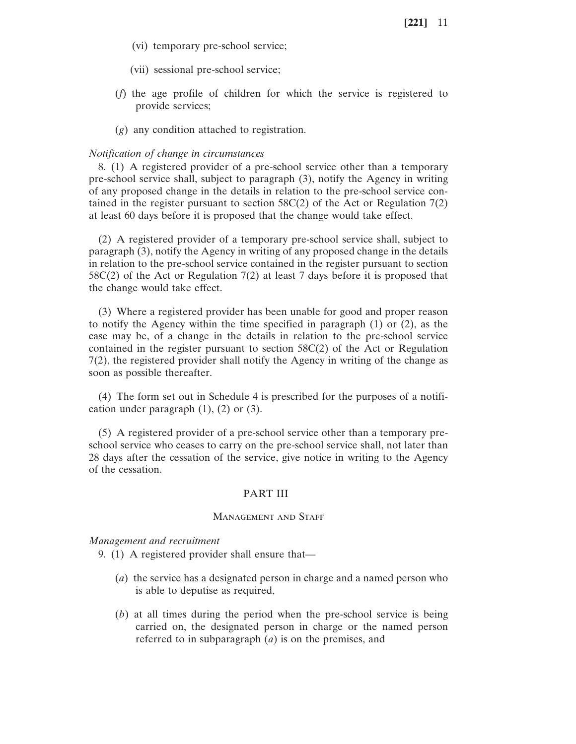- (vi) temporary pre-school service;
- (vii) sessional pre-school service;
- (*f*) the age profile of children for which the service is registered to provide services;
- (*g*) any condition attached to registration.

#### *Notification of change in circumstances*

8. (1) A registered provider of a pre-school service other than a temporary pre-school service shall, subject to paragraph (3), notify the Agency in writing of any proposed change in the details in relation to the pre-school service contained in the register pursuant to section  $58C(2)$  of the Act or Regulation 7(2) at least 60 days before it is proposed that the change would take effect.

(2) A registered provider of a temporary pre-school service shall, subject to paragraph (3), notify the Agency in writing of any proposed change in the details in relation to the pre-school service contained in the register pursuant to section 58C(2) of the Act or Regulation 7(2) at least 7 days before it is proposed that the change would take effect.

(3) Where a registered provider has been unable for good and proper reason to notify the Agency within the time specified in paragraph (1) or (2), as the case may be, of a change in the details in relation to the pre-school service contained in the register pursuant to section 58C(2) of the Act or Regulation 7(2), the registered provider shall notify the Agency in writing of the change as soon as possible thereafter.

(4) The form set out in Schedule 4 is prescribed for the purposes of a notification under paragraph  $(1)$ ,  $(2)$  or  $(3)$ .

(5) A registered provider of a pre-school service other than a temporary preschool service who ceases to carry on the pre-school service shall, not later than 28 days after the cessation of the service, give notice in writing to the Agency of the cessation.

#### PART III

#### MANAGEMENT AND STAFF

*Management and recruitment*

- 9. (1) A registered provider shall ensure that—
	- (*a*) the service has a designated person in charge and a named person who is able to deputise as required,
	- (*b*) at all times during the period when the pre-school service is being carried on, the designated person in charge or the named person referred to in subparagraph (*a*) is on the premises, and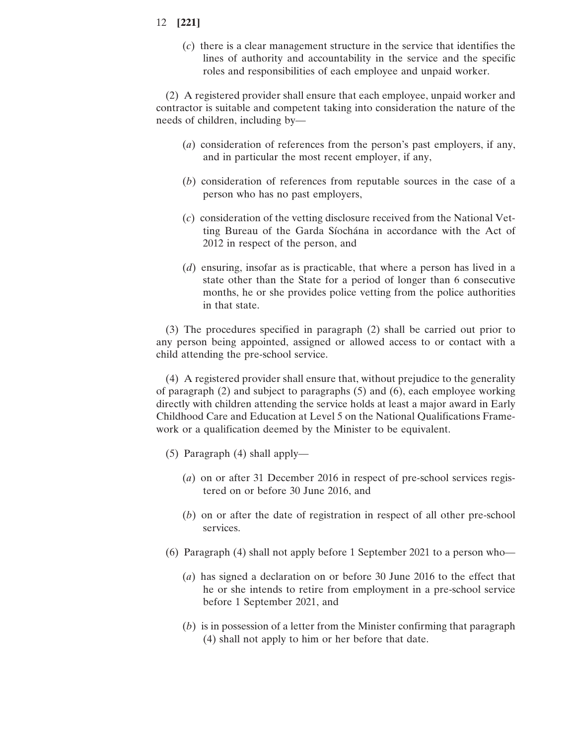(*c*) there is a clear management structure in the service that identifies the lines of authority and accountability in the service and the specific roles and responsibilities of each employee and unpaid worker.

(2) A registered provider shall ensure that each employee, unpaid worker and contractor is suitable and competent taking into consideration the nature of the needs of children, including by—

- (*a*) consideration of references from the person's past employers, if any, and in particular the most recent employer, if any,
- (*b*) consideration of references from reputable sources in the case of a person who has no past employers,
- (*c*) consideration of the vetting disclosure received from the National Vetting Bureau of the Garda Síochána in accordance with the Act of 2012 in respect of the person, and
- (*d*) ensuring, insofar as is practicable, that where a person has lived in a state other than the State for a period of longer than 6 consecutive months, he or she provides police vetting from the police authorities in that state.

(3) The procedures specified in paragraph (2) shall be carried out prior to any person being appointed, assigned or allowed access to or contact with a child attending the pre-school service.

(4) A registered provider shall ensure that, without prejudice to the generality of paragraph (2) and subject to paragraphs (5) and (6), each employee working directly with children attending the service holds at least a major award in Early Childhood Care and Education at Level 5 on the National Qualifications Framework or a qualification deemed by the Minister to be equivalent.

- (5) Paragraph (4) shall apply—
	- (*a*) on or after 31 December 2016 in respect of pre-school services registered on or before 30 June 2016, and
	- (*b*) on or after the date of registration in respect of all other pre-school services.
- (6) Paragraph (4) shall not apply before 1 September 2021 to a person who—
	- (*a*) has signed a declaration on or before 30 June 2016 to the effect that he or she intends to retire from employment in a pre-school service before 1 September 2021, and
	- (*b*) is in possession of a letter from the Minister confirming that paragraph (4) shall not apply to him or her before that date.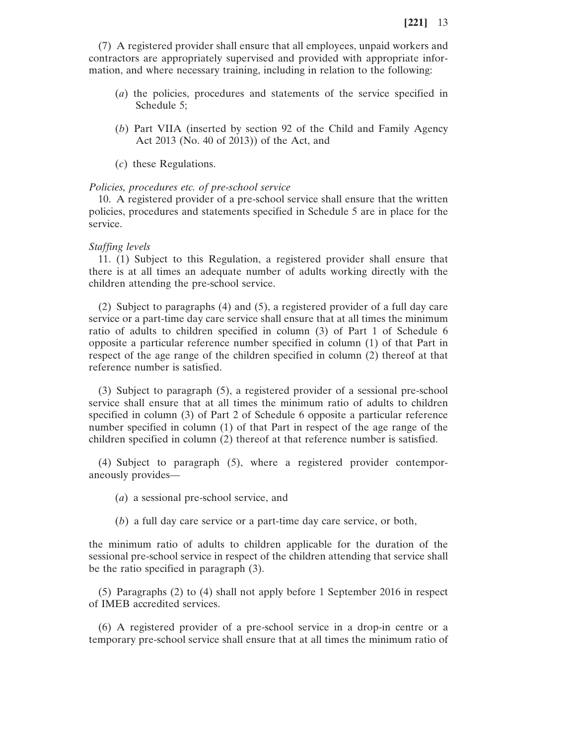(7) A registered provider shall ensure that all employees, unpaid workers and contractors are appropriately supervised and provided with appropriate information, and where necessary training, including in relation to the following:

- (*a*) the policies, procedures and statements of the service specified in Schedule 5;
- (*b*) Part VIIA (inserted by section 92 of the Child and Family Agency Act 2013 (No. 40 of 2013)) of the Act, and
- (*c*) these Regulations.

#### *Policies, procedures etc. of pre-school service*

10. A registered provider of a pre-school service shall ensure that the written policies, procedures and statements specified in Schedule 5 are in place for the service.

#### *Staffing levels*

11. (1) Subject to this Regulation, a registered provider shall ensure that there is at all times an adequate number of adults working directly with the children attending the pre-school service.

(2) Subject to paragraphs (4) and (5), a registered provider of a full day care service or a part-time day care service shall ensure that at all times the minimum ratio of adults to children specified in column (3) of Part 1 of Schedule 6 opposite a particular reference number specified in column (1) of that Part in respect of the age range of the children specified in column (2) thereof at that reference number is satisfied.

(3) Subject to paragraph (5), a registered provider of a sessional pre-school service shall ensure that at all times the minimum ratio of adults to children specified in column (3) of Part 2 of Schedule 6 opposite a particular reference number specified in column (1) of that Part in respect of the age range of the children specified in column (2) thereof at that reference number is satisfied.

(4) Subject to paragraph (5), where a registered provider contemporaneously provides—

- (*a*) a sessional pre-school service, and
- (*b*) a full day care service or a part-time day care service, or both,

the minimum ratio of adults to children applicable for the duration of the sessional pre-school service in respect of the children attending that service shall be the ratio specified in paragraph (3).

(5) Paragraphs (2) to (4) shall not apply before 1 September 2016 in respect of IMEB accredited services.

(6) A registered provider of a pre-school service in a drop-in centre or a temporary pre-school service shall ensure that at all times the minimum ratio of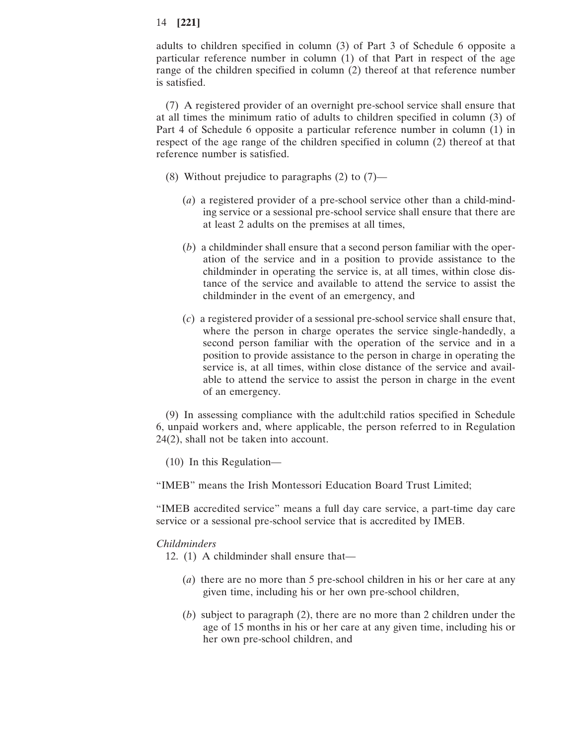adults to children specified in column (3) of Part 3 of Schedule 6 opposite a particular reference number in column (1) of that Part in respect of the age range of the children specified in column (2) thereof at that reference number is satisfied.

(7) A registered provider of an overnight pre-school service shall ensure that at all times the minimum ratio of adults to children specified in column (3) of Part 4 of Schedule 6 opposite a particular reference number in column (1) in respect of the age range of the children specified in column (2) thereof at that reference number is satisfied.

- (8) Without prejudice to paragraphs  $(2)$  to  $(7)$ 
	- (*a*) a registered provider of a pre-school service other than a child-minding service or a sessional pre-school service shall ensure that there are at least 2 adults on the premises at all times,
	- (*b*) a childminder shall ensure that a second person familiar with the operation of the service and in a position to provide assistance to the childminder in operating the service is, at all times, within close distance of the service and available to attend the service to assist the childminder in the event of an emergency, and
	- (*c*) a registered provider of a sessional pre-school service shall ensure that, where the person in charge operates the service single-handedly, a second person familiar with the operation of the service and in a position to provide assistance to the person in charge in operating the service is, at all times, within close distance of the service and available to attend the service to assist the person in charge in the event of an emergency.

(9) In assessing compliance with the adult:child ratios specified in Schedule 6, unpaid workers and, where applicable, the person referred to in Regulation 24(2), shall not be taken into account.

(10) In this Regulation—

"IMEB" means the Irish Montessori Education Board Trust Limited;

"IMEB accredited service" means a full day care service, a part-time day care service or a sessional pre-school service that is accredited by IMEB.

#### *Childminders*

12. (1) A childminder shall ensure that—

- (*a*) there are no more than 5 pre-school children in his or her care at any given time, including his or her own pre-school children,
- (*b*) subject to paragraph (2), there are no more than 2 children under the age of 15 months in his or her care at any given time, including his or her own pre-school children, and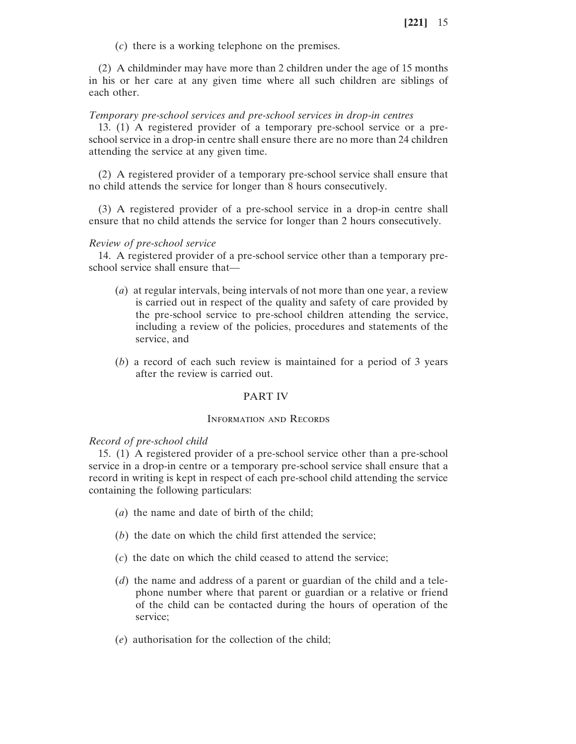(*c*) there is a working telephone on the premises.

(2) A childminder may have more than 2 children under the age of 15 months in his or her care at any given time where all such children are siblings of each other.

#### *Temporary pre-school services and pre-school services in drop-in centres*

13. (1) A registered provider of a temporary pre-school service or a preschool service in a drop-in centre shall ensure there are no more than 24 children attending the service at any given time.

(2) A registered provider of a temporary pre-school service shall ensure that no child attends the service for longer than 8 hours consecutively.

(3) A registered provider of a pre-school service in a drop-in centre shall ensure that no child attends the service for longer than 2 hours consecutively.

#### *Review of pre-school service*

14. A registered provider of a pre-school service other than a temporary preschool service shall ensure that—

- (*a*) at regular intervals, being intervals of not more than one year, a review is carried out in respect of the quality and safety of care provided by the pre-school service to pre-school children attending the service, including a review of the policies, procedures and statements of the service, and
- (*b*) a record of each such review is maintained for a period of 3 years after the review is carried out.

#### PART IV

#### Information and Records

#### *Record of pre-school child*

15. (1) A registered provider of a pre-school service other than a pre-school service in a drop-in centre or a temporary pre-school service shall ensure that a record in writing is kept in respect of each pre-school child attending the service containing the following particulars:

- (*a*) the name and date of birth of the child;
- (*b*) the date on which the child first attended the service;
- (*c*) the date on which the child ceased to attend the service;
- (*d*) the name and address of a parent or guardian of the child and a telephone number where that parent or guardian or a relative or friend of the child can be contacted during the hours of operation of the service;
- (*e*) authorisation for the collection of the child;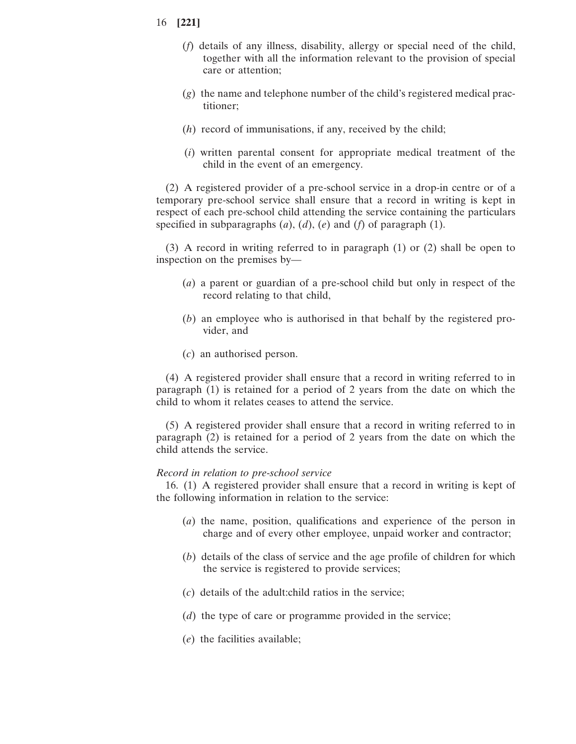- 16 **[221]**
	- (*f*) details of any illness, disability, allergy or special need of the child, together with all the information relevant to the provision of special care or attention;
	- (*g*) the name and telephone number of the child's registered medical practitioner;
	- (*h*) record of immunisations, if any, received by the child;
	- (*i*) written parental consent for appropriate medical treatment of the child in the event of an emergency.

(2) A registered provider of a pre-school service in a drop-in centre or of a temporary pre-school service shall ensure that a record in writing is kept in respect of each pre-school child attending the service containing the particulars specified in subparagraphs (*a*), (*d*), (*e*) and (*f*) of paragraph (1).

(3) A record in writing referred to in paragraph (1) or (2) shall be open to inspection on the premises by—

- (*a*) a parent or guardian of a pre-school child but only in respect of the record relating to that child,
- (*b*) an employee who is authorised in that behalf by the registered provider, and
- (*c*) an authorised person.

(4) A registered provider shall ensure that a record in writing referred to in paragraph (1) is retained for a period of 2 years from the date on which the child to whom it relates ceases to attend the service.

(5) A registered provider shall ensure that a record in writing referred to in paragraph (2) is retained for a period of 2 years from the date on which the child attends the service.

#### *Record in relation to pre-school service*

16. (1) A registered provider shall ensure that a record in writing is kept of the following information in relation to the service:

- (*a*) the name, position, qualifications and experience of the person in charge and of every other employee, unpaid worker and contractor;
- (*b*) details of the class of service and the age profile of children for which the service is registered to provide services;
- (*c*) details of the adult:child ratios in the service;
- (*d*) the type of care or programme provided in the service;
- (*e*) the facilities available;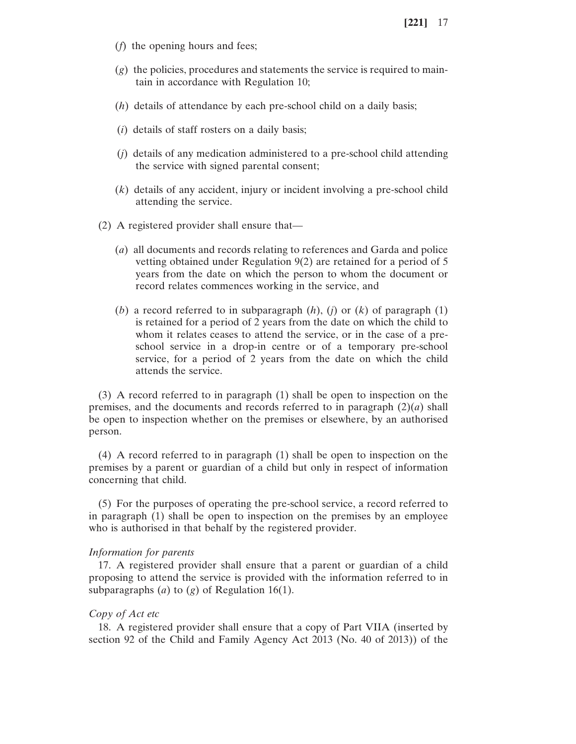- (*f*) the opening hours and fees;
- (*g*) the policies, procedures and statements the service is required to maintain in accordance with Regulation 10;
- (*h*) details of attendance by each pre-school child on a daily basis;
- (*i*) details of staff rosters on a daily basis;
- (*j*) details of any medication administered to a pre-school child attending the service with signed parental consent;
- (*k*) details of any accident, injury or incident involving a pre-school child attending the service.
- (2) A registered provider shall ensure that—
	- (*a*) all documents and records relating to references and Garda and police vetting obtained under Regulation 9(2) are retained for a period of 5 years from the date on which the person to whom the document or record relates commences working in the service, and
	- (*b*) a record referred to in subparagraph (*h*), (*j*) or (*k*) of paragraph (1) is retained for a period of 2 years from the date on which the child to whom it relates ceases to attend the service, or in the case of a preschool service in a drop-in centre or of a temporary pre-school service, for a period of 2 years from the date on which the child attends the service.

(3) A record referred to in paragraph (1) shall be open to inspection on the premises, and the documents and records referred to in paragraph  $(2)(a)$  shall be open to inspection whether on the premises or elsewhere, by an authorised person.

(4) A record referred to in paragraph (1) shall be open to inspection on the premises by a parent or guardian of a child but only in respect of information concerning that child.

(5) For the purposes of operating the pre-school service, a record referred to in paragraph (1) shall be open to inspection on the premises by an employee who is authorised in that behalf by the registered provider.

#### *Information for parents*

17. A registered provider shall ensure that a parent or guardian of a child proposing to attend the service is provided with the information referred to in subparagraphs (*a*) to (*g*) of Regulation 16(1).

#### *Copy of Act etc*

18. A registered provider shall ensure that a copy of Part VIIA (inserted by section 92 of the Child and Family Agency Act 2013 (No. 40 of 2013)) of the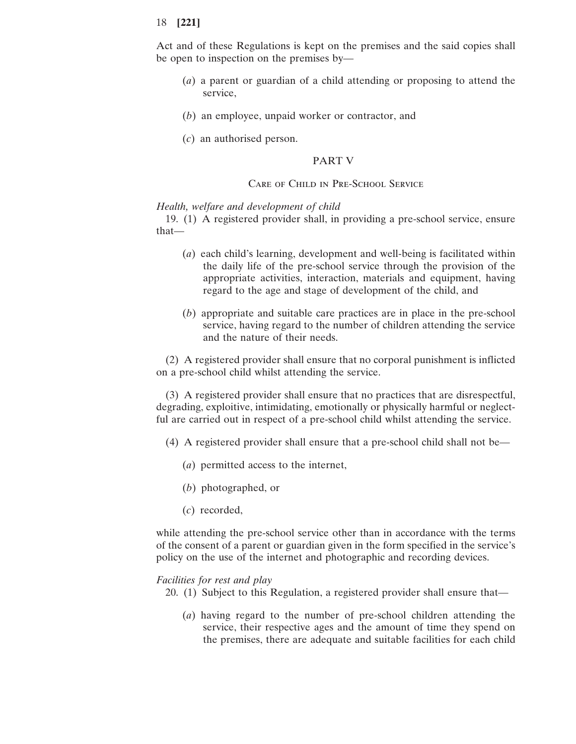Act and of these Regulations is kept on the premises and the said copies shall be open to inspection on the premises by—

- (*a*) a parent or guardian of a child attending or proposing to attend the service,
- (*b*) an employee, unpaid worker or contractor, and
- (*c*) an authorised person.

#### PART V

#### Care of Child in Pre-School Service

#### *Health, welfare and development of child*

19. (1) A registered provider shall, in providing a pre-school service, ensure that—

- (*a*) each child's learning, development and well-being is facilitated within the daily life of the pre-school service through the provision of the appropriate activities, interaction, materials and equipment, having regard to the age and stage of development of the child, and
- (*b*) appropriate and suitable care practices are in place in the pre-school service, having regard to the number of children attending the service and the nature of their needs.

(2) A registered provider shall ensure that no corporal punishment is inflicted on a pre-school child whilst attending the service.

(3) A registered provider shall ensure that no practices that are disrespectful, degrading, exploitive, intimidating, emotionally or physically harmful or neglectful are carried out in respect of a pre-school child whilst attending the service.

- (4) A registered provider shall ensure that a pre-school child shall not be—
	- (*a*) permitted access to the internet,
	- (*b*) photographed, or
	- (*c*) recorded,

while attending the pre-school service other than in accordance with the terms of the consent of a parent or guardian given in the form specified in the service's policy on the use of the internet and photographic and recording devices.

#### *Facilities for rest and play*

- 20. (1) Subject to this Regulation, a registered provider shall ensure that—
	- (*a*) having regard to the number of pre-school children attending the service, their respective ages and the amount of time they spend on the premises, there are adequate and suitable facilities for each child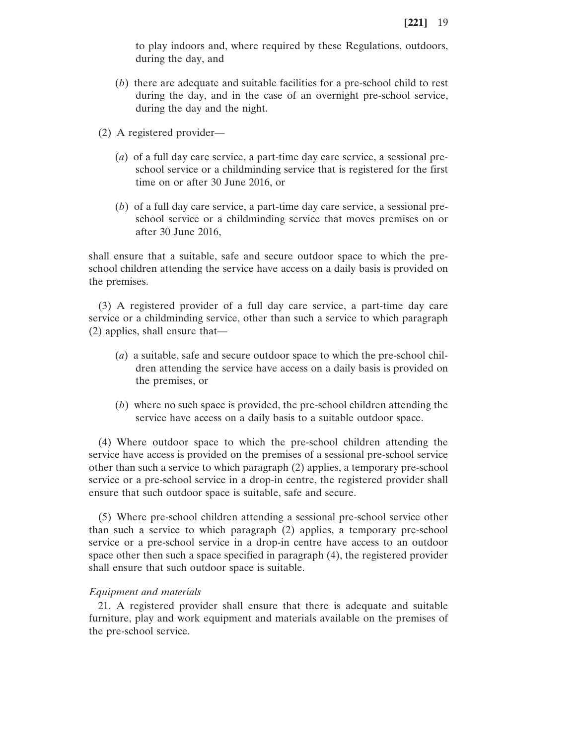to play indoors and, where required by these Regulations, outdoors, during the day, and

- (*b*) there are adequate and suitable facilities for a pre-school child to rest during the day, and in the case of an overnight pre-school service, during the day and the night.
- (2) A registered provider—
	- (*a*) of a full day care service, a part-time day care service, a sessional preschool service or a childminding service that is registered for the first time on or after 30 June 2016, or
	- (*b*) of a full day care service, a part-time day care service, a sessional preschool service or a childminding service that moves premises on or after 30 June 2016,

shall ensure that a suitable, safe and secure outdoor space to which the preschool children attending the service have access on a daily basis is provided on the premises.

(3) A registered provider of a full day care service, a part-time day care service or a childminding service, other than such a service to which paragraph (2) applies, shall ensure that—

- (*a*) a suitable, safe and secure outdoor space to which the pre-school children attending the service have access on a daily basis is provided on the premises, or
- (*b*) where no such space is provided, the pre-school children attending the service have access on a daily basis to a suitable outdoor space.

(4) Where outdoor space to which the pre-school children attending the service have access is provided on the premises of a sessional pre-school service other than such a service to which paragraph (2) applies, a temporary pre-school service or a pre-school service in a drop-in centre, the registered provider shall ensure that such outdoor space is suitable, safe and secure.

(5) Where pre-school children attending a sessional pre-school service other than such a service to which paragraph (2) applies, a temporary pre-school service or a pre-school service in a drop-in centre have access to an outdoor space other then such a space specified in paragraph (4), the registered provider shall ensure that such outdoor space is suitable.

#### *Equipment and materials*

21. A registered provider shall ensure that there is adequate and suitable furniture, play and work equipment and materials available on the premises of the pre-school service.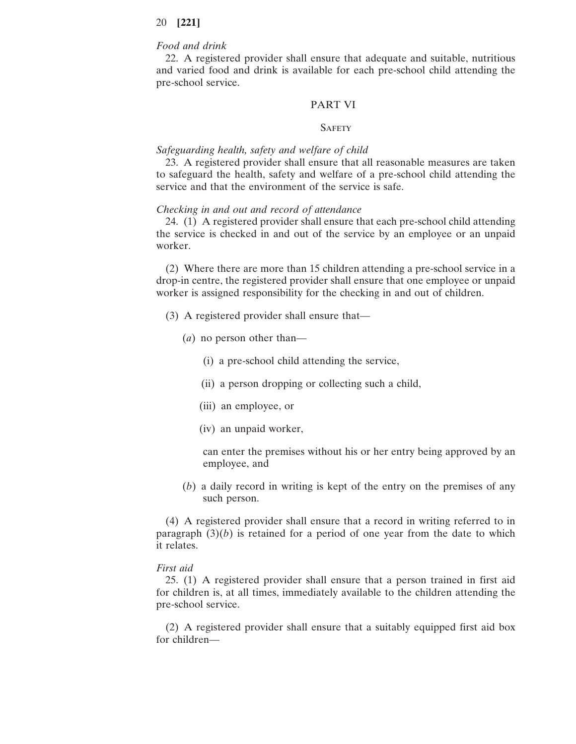# *Food and drink*

22. A registered provider shall ensure that adequate and suitable, nutritious and varied food and drink is available for each pre-school child attending the pre-school service.

#### PART VI

#### **SAFETY**

#### *Safeguarding health, safety and welfare of child*

23. A registered provider shall ensure that all reasonable measures are taken to safeguard the health, safety and welfare of a pre-school child attending the service and that the environment of the service is safe.

#### *Checking in and out and record of attendance*

24. (1) A registered provider shall ensure that each pre-school child attending the service is checked in and out of the service by an employee or an unpaid worker.

(2) Where there are more than 15 children attending a pre-school service in a drop-in centre, the registered provider shall ensure that one employee or unpaid worker is assigned responsibility for the checking in and out of children.

- (3) A registered provider shall ensure that—
	- (*a*) no person other than—
		- (i) a pre-school child attending the service,
		- (ii) a person dropping or collecting such a child,
		- (iii) an employee, or
		- (iv) an unpaid worker,

can enter the premises without his or her entry being approved by an employee, and

(*b*) a daily record in writing is kept of the entry on the premises of any such person.

(4) A registered provider shall ensure that a record in writing referred to in paragraph  $(3)(b)$  is retained for a period of one year from the date to which it relates.

#### *First aid*

25. (1) A registered provider shall ensure that a person trained in first aid for children is, at all times, immediately available to the children attending the pre-school service.

(2) A registered provider shall ensure that a suitably equipped first aid box for children—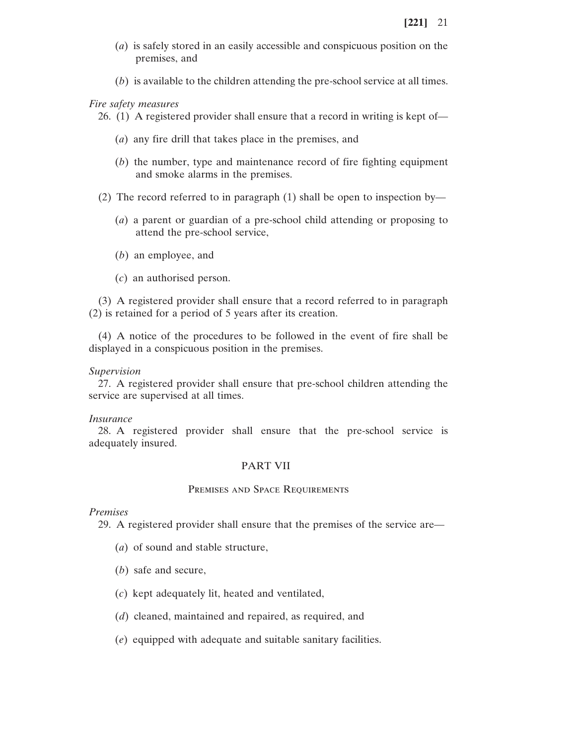- (*a*) is safely stored in an easily accessible and conspicuous position on the premises, and
- (*b*) is available to the children attending the pre-school service at all times.

*Fire safety measures*

26. (1) A registered provider shall ensure that a record in writing is kept of—

- (*a*) any fire drill that takes place in the premises, and
- (*b*) the number, type and maintenance record of fire fighting equipment and smoke alarms in the premises.
- (2) The record referred to in paragraph (1) shall be open to inspection by—
	- (*a*) a parent or guardian of a pre-school child attending or proposing to attend the pre-school service,
	- (*b*) an employee, and
	- (*c*) an authorised person.

(3) A registered provider shall ensure that a record referred to in paragraph (2) is retained for a period of 5 years after its creation.

(4) A notice of the procedures to be followed in the event of fire shall be displayed in a conspicuous position in the premises.

*Supervision*

27. A registered provider shall ensure that pre-school children attending the service are supervised at all times.

#### *Insurance*

28. A registered provider shall ensure that the pre-school service is adequately insured.

## PART VII

#### PREMISES AND SPACE REQUIREMENTS

*Premises*

29. A registered provider shall ensure that the premises of the service are—

- (*a*) of sound and stable structure,
- (*b*) safe and secure,
- (*c*) kept adequately lit, heated and ventilated,
- (*d*) cleaned, maintained and repaired, as required, and
- (*e*) equipped with adequate and suitable sanitary facilities.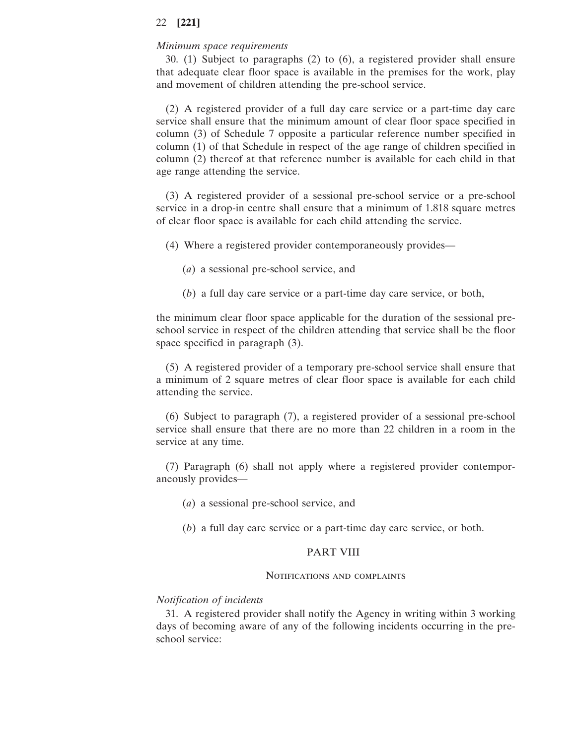#### *Minimum space requirements*

30. (1) Subject to paragraphs (2) to (6), a registered provider shall ensure that adequate clear floor space is available in the premises for the work, play and movement of children attending the pre-school service.

(2) A registered provider of a full day care service or a part-time day care service shall ensure that the minimum amount of clear floor space specified in column (3) of Schedule 7 opposite a particular reference number specified in column (1) of that Schedule in respect of the age range of children specified in column (2) thereof at that reference number is available for each child in that age range attending the service.

(3) A registered provider of a sessional pre-school service or a pre-school service in a drop-in centre shall ensure that a minimum of 1.818 square metres of clear floor space is available for each child attending the service.

(4) Where a registered provider contemporaneously provides—

- (*a*) a sessional pre-school service, and
- (*b*) a full day care service or a part-time day care service, or both,

the minimum clear floor space applicable for the duration of the sessional preschool service in respect of the children attending that service shall be the floor space specified in paragraph (3).

(5) A registered provider of a temporary pre-school service shall ensure that a minimum of 2 square metres of clear floor space is available for each child attending the service.

(6) Subject to paragraph (7), a registered provider of a sessional pre-school service shall ensure that there are no more than 22 children in a room in the service at any time.

(7) Paragraph (6) shall not apply where a registered provider contemporaneously provides—

(*a*) a sessional pre-school service, and

(*b*) a full day care service or a part-time day care service, or both.

#### PART VIII

#### Notifications and complaints

#### *Notification of incidents*

31. A registered provider shall notify the Agency in writing within 3 working days of becoming aware of any of the following incidents occurring in the preschool service: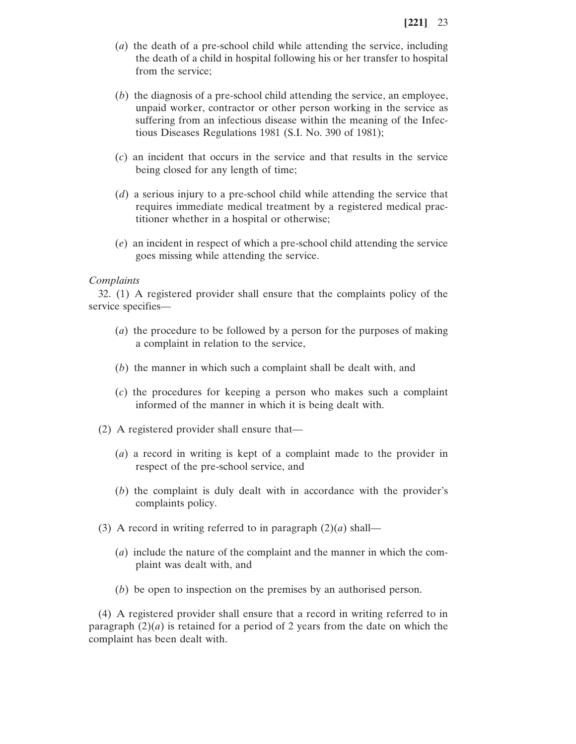- (*a*) the death of a pre-school child while attending the service, including the death of a child in hospital following his or her transfer to hospital from the service;
- (*b*) the diagnosis of a pre-school child attending the service, an employee, unpaid worker, contractor or other person working in the service as suffering from an infectious disease within the meaning of the Infectious Diseases Regulations 1981 (S.I. No. 390 of 1981);
- (*c*) an incident that occurs in the service and that results in the service being closed for any length of time;
- (*d*) a serious injury to a pre-school child while attending the service that requires immediate medical treatment by a registered medical practitioner whether in a hospital or otherwise;
- (*e*) an incident in respect of which a pre-school child attending the service goes missing while attending the service.

#### *Complaints*

32. (1) A registered provider shall ensure that the complaints policy of the service specifies—

- (*a*) the procedure to be followed by a person for the purposes of making a complaint in relation to the service,
- (*b*) the manner in which such a complaint shall be dealt with, and
- (*c*) the procedures for keeping a person who makes such a complaint informed of the manner in which it is being dealt with.
- (2) A registered provider shall ensure that—
	- (*a*) a record in writing is kept of a complaint made to the provider in respect of the pre-school service, and
	- (*b*) the complaint is duly dealt with in accordance with the provider's complaints policy.
- (3) A record in writing referred to in paragraph  $(2)(a)$  shall—
	- (*a*) include the nature of the complaint and the manner in which the complaint was dealt with, and
	- (*b*) be open to inspection on the premises by an authorised person.

(4) A registered provider shall ensure that a record in writing referred to in paragraph (2)(*a*) is retained for a period of 2 years from the date on which the complaint has been dealt with.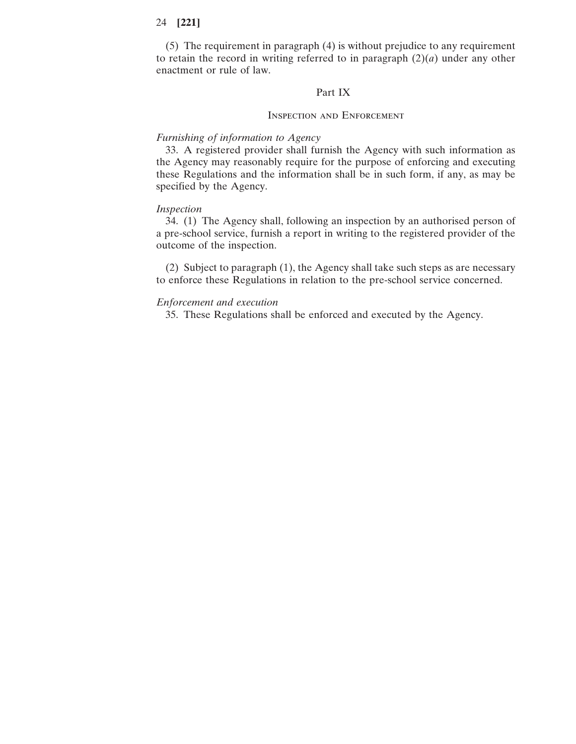(5) The requirement in paragraph (4) is without prejudice to any requirement to retain the record in writing referred to in paragraph  $(2)(a)$  under any other enactment or rule of law.

#### Part IX

#### Inspection and Enforcement

#### *Furnishing of information to Agency*

33. A registered provider shall furnish the Agency with such information as the Agency may reasonably require for the purpose of enforcing and executing these Regulations and the information shall be in such form, if any, as may be specified by the Agency.

#### *Inspection*

34. (1) The Agency shall, following an inspection by an authorised person of a pre-school service, furnish a report in writing to the registered provider of the outcome of the inspection.

(2) Subject to paragraph (1), the Agency shall take such steps as are necessary to enforce these Regulations in relation to the pre-school service concerned.

#### *Enforcement and execution*

35. These Regulations shall be enforced and executed by the Agency.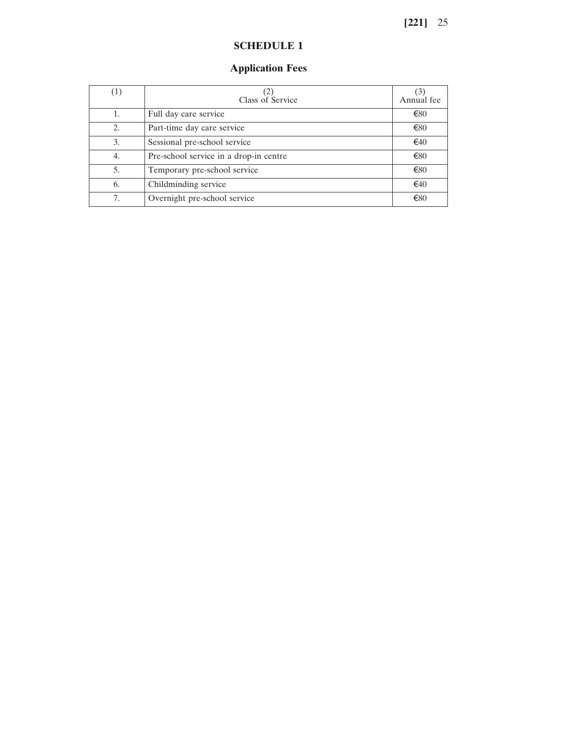# **SCHEDULE 1**

# **Application Fees**

| (1) | Class of Service                       | $\left(3\right)$<br>Annual fee |
|-----|----------------------------------------|--------------------------------|
|     | Full day care service                  | €80                            |
| 2.  | Part-time day care service             | €80                            |
| 3.  | Sessional pre-school service           | €40                            |
| 4.  | Pre-school service in a drop-in centre | €80                            |
| 5.  | Temporary pre-school service           | €80                            |
| 6.  | Childminding service                   | €40                            |
| 7.  | Overnight pre-school service           | €80                            |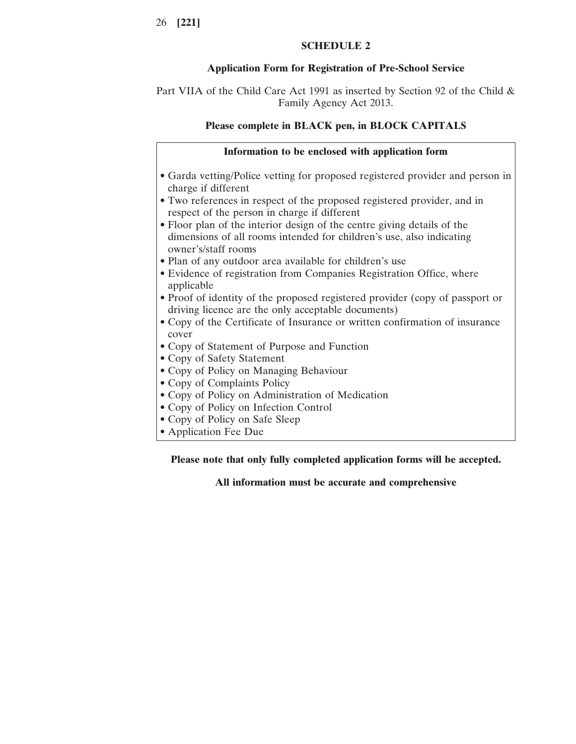# **SCHEDULE 2**

# **Application Form for Registration of Pre-School Service**

Part VIIA of the Child Care Act 1991 as inserted by Section 92 of the Child & Family Agency Act 2013.

# **Please complete in BLACK pen, in BLOCK CAPITALS**

# **Information to be enclosed with application form**

- Garda vetting/Police vetting for proposed registered provider and person in charge if different
- Two references in respect of the proposed registered provider, and in respect of the person in charge if different
- Floor plan of the interior design of the centre giving details of the dimensions of all rooms intended for children's use, also indicating owner's/staff rooms
- Plan of any outdoor area available for children's use
- Evidence of registration from Companies Registration Office, where applicable
- Proof of identity of the proposed registered provider (copy of passport or driving licence are the only acceptable documents)
- Copy of the Certificate of Insurance or written confirmation of insurance cover
- Copy of Statement of Purpose and Function
- Copy of Safety Statement
- Copy of Policy on Managing Behaviour
- Copy of Complaints Policy
- Copy of Policy on Administration of Medication
- Copy of Policy on Infection Control
- Copy of Policy on Safe Sleep
- Application Fee Due

# **Please note that only fully completed application forms will be accepted.**

# **All information must be accurate and comprehensive**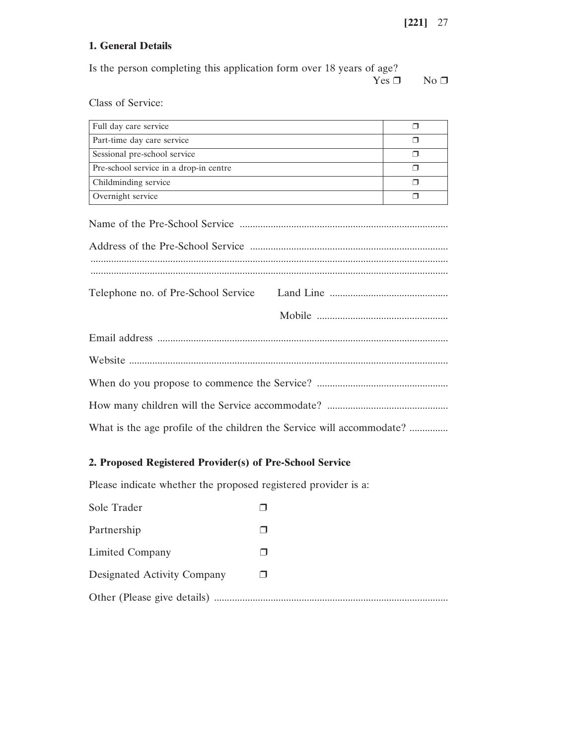# **1. General Details**

| Is the person completing this application form over 18 years of age? |             |
|----------------------------------------------------------------------|-------------|
| $Yes \sqcap$                                                         | $N0$ $\Box$ |

Class of Service:

| Full day care service                  |  |
|----------------------------------------|--|
| Part-time day care service             |  |
| Sessional pre-school service           |  |
| Pre-school service in a drop-in centre |  |
| Childminding service                   |  |
| Overnight service                      |  |

| What is the age profile of the children the Service will accommodate? |  |  |  |
|-----------------------------------------------------------------------|--|--|--|

# **2. Proposed Registered Provider(s) of Pre-School Service**

Please indicate whether the proposed registered provider is a:

| Sole Trader                 |  |
|-----------------------------|--|
| Partnership                 |  |
| Limited Company             |  |
| Designated Activity Company |  |
|                             |  |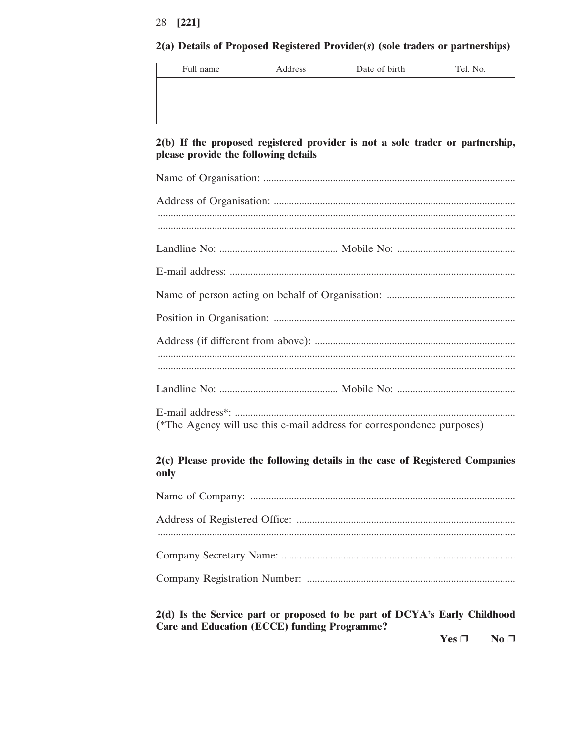#### 2(a) Details of Proposed Registered Provider(s) (sole traders or partnerships)

| Full name | Address | Date of birth | Tel. No. |
|-----------|---------|---------------|----------|
|           |         |               |          |
|           |         |               |          |
|           |         |               |          |

# 2(b) If the proposed registered provider is not a sole trader or partnership, please provide the following details

(\*The Agency will use this e-mail address for correspondence purposes)

# 2(c) Please provide the following details in the case of Registered Companies only

# 2(d) Is the Service part or proposed to be part of DCYA's Early Childhood **Care and Education (ECCE) funding Programme?**

Yes  $\Box$  $No<sub>1</sub>$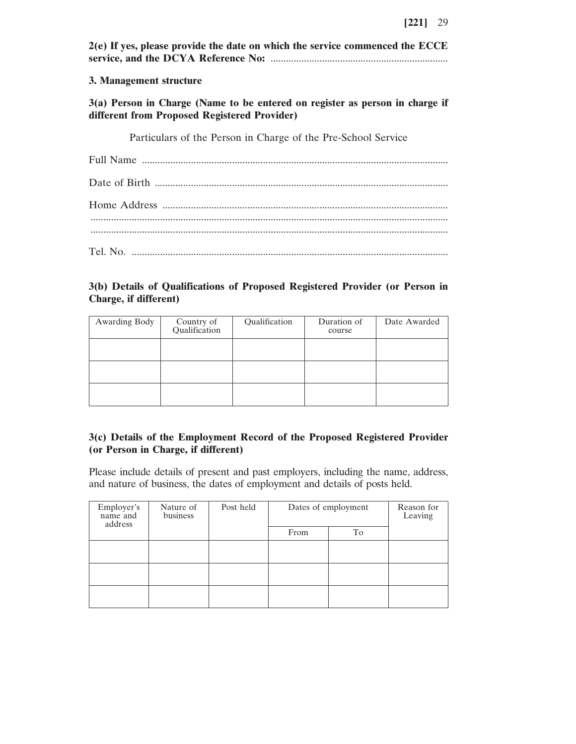| 2(e) If yes, please provide the date on which the service commenced the ECCE                                                 |  |  |
|------------------------------------------------------------------------------------------------------------------------------|--|--|
| 3. Management structure                                                                                                      |  |  |
| 3(a) Person in Charge (Name to be entered on register as person in charge if<br>different from Proposed Registered Provider) |  |  |
| Particulars of the Person in Charge of the Pre-School Service                                                                |  |  |
|                                                                                                                              |  |  |
|                                                                                                                              |  |  |
|                                                                                                                              |  |  |
|                                                                                                                              |  |  |

# **3(b) Details of Qualifications of Proposed Registered Provider (or Person in Charge, if different)**

| Awarding Body | Country of<br>Qualification | Qualification | Duration of<br>course | Date Awarded |
|---------------|-----------------------------|---------------|-----------------------|--------------|
|               |                             |               |                       |              |
|               |                             |               |                       |              |
|               |                             |               |                       |              |

# **3(c) Details of the Employment Record of the Proposed Registered Provider (or Person in Charge, if different)**

Please include details of present and past employers, including the name, address, and nature of business, the dates of employment and details of posts held.

| Employer's<br>name and<br>address | Nature of<br>business | Post held | Dates of employment |    | Reason for<br>Leaving |
|-----------------------------------|-----------------------|-----------|---------------------|----|-----------------------|
|                                   |                       |           | From                | To |                       |
|                                   |                       |           |                     |    |                       |
|                                   |                       |           |                     |    |                       |
|                                   |                       |           |                     |    |                       |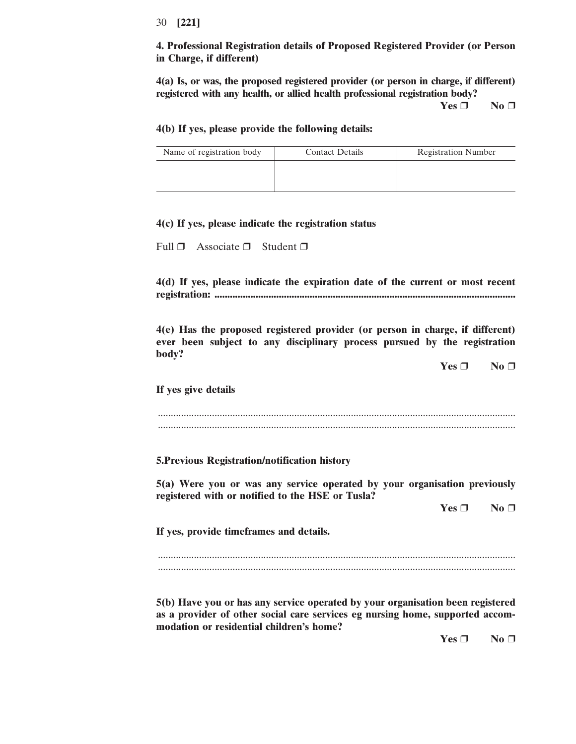**4. Professional Registration details of Proposed Registered Provider (or Person in Charge, if different)**

**4(a) Is, or was, the proposed registered provider (or person in charge, if different) registered with any health, or allied health professional registration body?**

**Yes** ❒ **No** ❒

#### **4(b) If yes, please provide the following details:**

| Name of registration body | <b>Contact Details</b> | <b>Registration Number</b> |
|---------------------------|------------------------|----------------------------|
|                           |                        |                            |
|                           |                        |                            |

#### **4(c) If yes, please indicate the registration status**

Full ❒ Associate ❒ Student ❒

**4(d) If yes, please indicate the expiration date of the current or most recent registration: .....................................................................................................................**

**4(e) Has the proposed registered provider (or person in charge, if different) ever been subject to any disciplinary process pursued by the registration body?**

**Yes** ❒ **No** ❒

**If yes give details**

........................................................................................................................................... ...........................................................................................................................................

**5.Previous Registration/notification history**

**5(a) Were you or was any service operated by your organisation previously registered with or notified to the HSE or Tusla?**

**Yes** ❒ **No** ❒

**If yes, provide timeframes and details.**

........................................................................................................................................... ...........................................................................................................................................

**5(b) Have you or has any service operated by your organisation been registered as a provider of other social care services eg nursing home, supported accommodation or residential children's home?**

**Yes** ❒ **No** ❒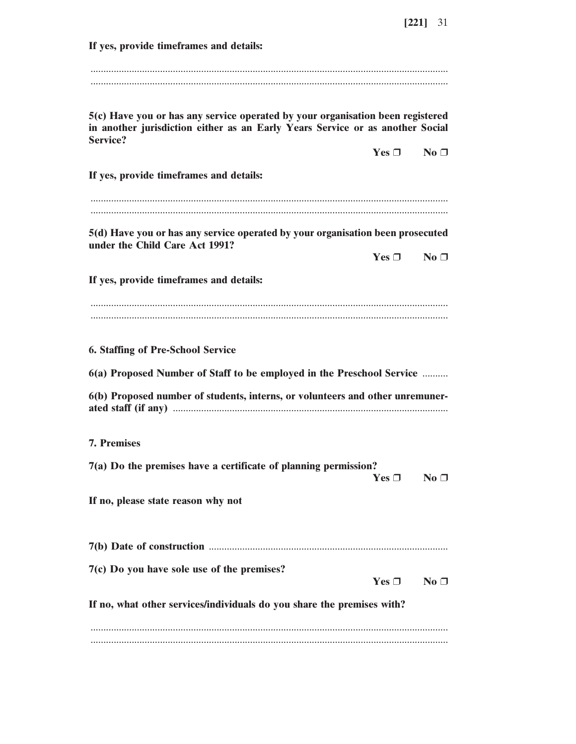**If yes, provide timeframes and details:** ........................................................................................................................................... ........................................................................................................................................... **5(c) Have you or has any service operated by your organisation been registered in another jurisdiction either as an Early Years Service or as another Social Service? Yes** ❒ **No** ❒ **If yes, provide timeframes and details:** ........................................................................................................................................... ........................................................................................................................................... **5(d) Have you or has any service operated by your organisation been prosecuted under the Child Care Act 1991? Yes** ❒ **No** ❒ **If yes, provide timeframes and details:** ........................................................................................................................................... ........................................................................................................................................... **6. Staffing of Pre-School Service 6(a) Proposed Number of Staff to be employed in the Preschool Service** .......... **6(b) Proposed number of students, interns, or volunteers and other unremunerated staff (if any)** ........................................................................................................... **7. Premises 7(a) Do the premises have a certificate of planning permission?**  $Yes \Box$  **No**  $\Box$ **If no, please state reason why not 7(b) Date of construction** ............................................................................................. **7(c) Do you have sole use of the premises?**  $Yes \Box$  **No**  $\Box$ **If no, what other services/individuals do you share the premises with?** ........................................................................................................................................... ...........................................................................................................................................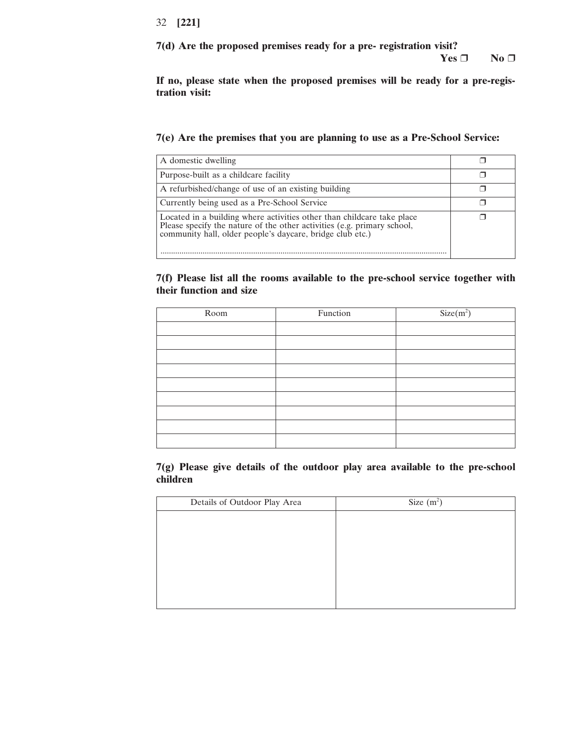**7(d) Are the proposed premises ready for a pre- registration visit?**

**Yes** ❒ **No** ❒

**If no, please state when the proposed premises will be ready for a pre-registration visit:**

**7(e) Are the premises that you are planning to use as a Pre-School Service:**

| A domestic dwelling                                                                                                                                                                                            |  |
|----------------------------------------------------------------------------------------------------------------------------------------------------------------------------------------------------------------|--|
| Purpose-built as a childcare facility                                                                                                                                                                          |  |
| A refurbished/change of use of an existing building                                                                                                                                                            |  |
| Currently being used as a Pre-School Service                                                                                                                                                                   |  |
| Located in a building where activities other than childcare take place<br>Please specify the nature of the other activities (e.g. primary school,<br>community hall, older people's daycare, bridge club etc.) |  |

**7(f) Please list all the rooms available to the pre-school service together with their function and size**

| Room | Function | $Size(m^2)$ |
|------|----------|-------------|
|      |          |             |
|      |          |             |
|      |          |             |
|      |          |             |
|      |          |             |
|      |          |             |
|      |          |             |
|      |          |             |
|      |          |             |

**7(g) Please give details of the outdoor play area available to the pre-school children**

| Details of Outdoor Play Area | Size $(m^2)$ |
|------------------------------|--------------|
|                              |              |
|                              |              |
|                              |              |
|                              |              |
|                              |              |
|                              |              |
|                              |              |
|                              |              |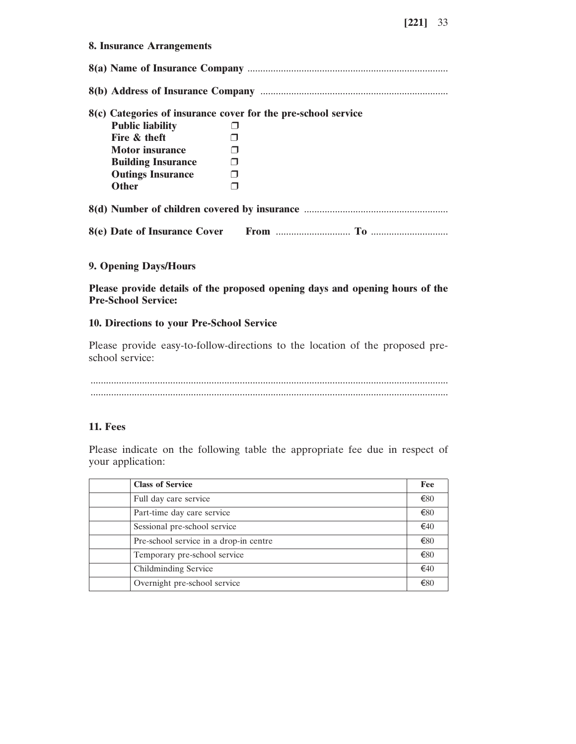| 8. Insurance Arrangements                                     |        |  |  |  |
|---------------------------------------------------------------|--------|--|--|--|
|                                                               |        |  |  |  |
|                                                               |        |  |  |  |
| 8(c) Categories of insurance cover for the pre-school service |        |  |  |  |
| <b>Public liability</b>                                       |        |  |  |  |
| Fire & theft                                                  |        |  |  |  |
| <b>Motor</b> insurance                                        |        |  |  |  |
| <b>Building Insurance</b>                                     |        |  |  |  |
| <b>Outings Insurance</b>                                      | $\Box$ |  |  |  |
| <b>Other</b>                                                  |        |  |  |  |
|                                                               |        |  |  |  |
|                                                               |        |  |  |  |

## **9. Opening Days/Hours**

# **Please provide details of the proposed opening days and opening hours of the Pre-School Service:**

#### **10. Directions to your Pre-School Service**

Please provide easy-to-follow-directions to the location of the proposed preschool service:

........................................................................................................................................... ...........................................................................................................................................

# **11. Fees**

Please indicate on the following table the appropriate fee due in respect of your application:

| <b>Class of Service</b>                | Fee           |
|----------------------------------------|---------------|
| Full day care service                  | €80           |
| Part-time day care service             | €80           |
| Sessional pre-school service           | €40           |
| Pre-school service in a drop-in centre | €80           |
| Temporary pre-school service           | €80           |
| Childminding Service                   | $\epsilon$ 40 |
| Overnight pre-school service           | €80           |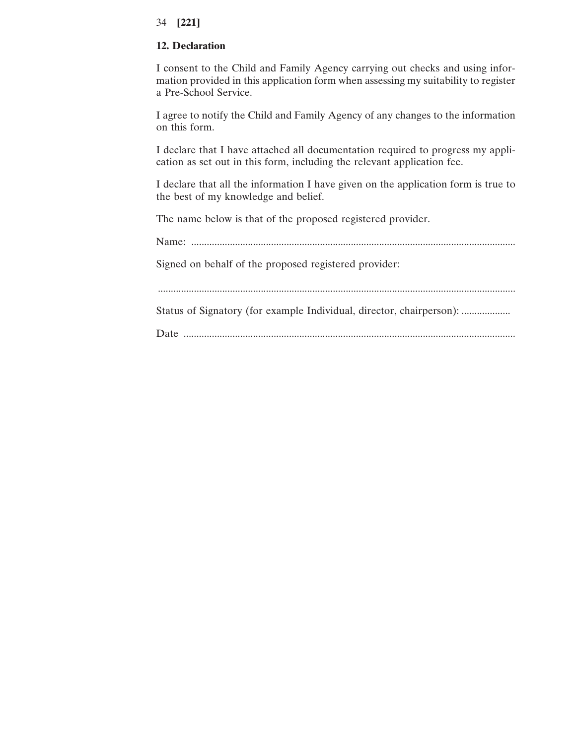# **12. Declaration**

I consent to the Child and Family Agency carrying out checks and using information provided in this application form when assessing my suitability to register a Pre-School Service.

I agree to notify the Child and Family Agency of any changes to the information on this form.

I declare that I have attached all documentation required to progress my application as set out in this form, including the relevant application fee.

I declare that all the information I have given on the application form is true to the best of my knowledge and belief.

The name below is that of the proposed registered provider.

Name: .............................................................................................................................. Signed on behalf of the proposed registered provider: ........................................................................................................................................... Status of Signatory (for example Individual, director, chairperson): ...................

Date .................................................................................................................................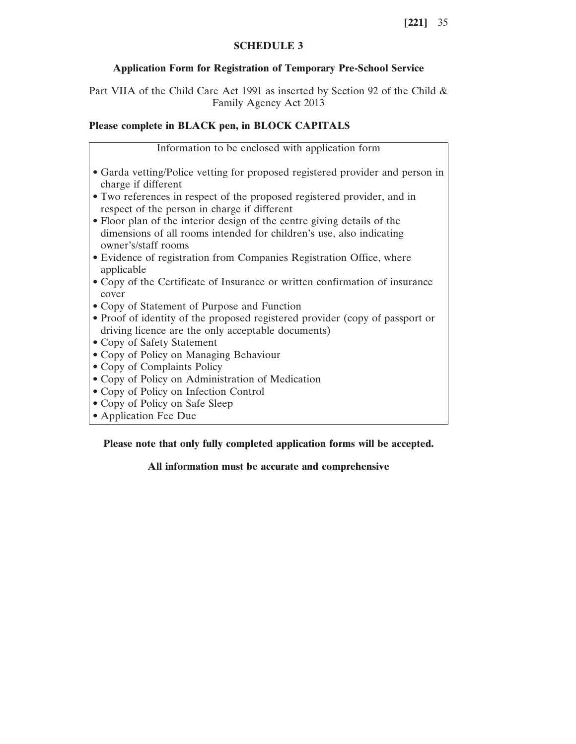# **SCHEDULE 3**

# **Application Form for Registration of Temporary Pre-School Service**

Part VIIA of the Child Care Act 1991 as inserted by Section 92 of the Child & Family Agency Act 2013

# **Please complete in BLACK pen, in BLOCK CAPITALS**

Information to be enclosed with application form

- Garda vetting/Police vetting for proposed registered provider and person in charge if different
- Two references in respect of the proposed registered provider, and in respect of the person in charge if different
- Floor plan of the interior design of the centre giving details of the dimensions of all rooms intended for children's use, also indicating owner's/staff rooms
- Evidence of registration from Companies Registration Office, where applicable
- Copy of the Certificate of Insurance or written confirmation of insurance cover
- Copy of Statement of Purpose and Function
- Proof of identity of the proposed registered provider (copy of passport or driving licence are the only acceptable documents)
- Copy of Safety Statement
- Copy of Policy on Managing Behaviour
- Copy of Complaints Policy
- Copy of Policy on Administration of Medication
- Copy of Policy on Infection Control
- Copy of Policy on Safe Sleep
- Application Fee Due

**Please note that only fully completed application forms will be accepted.**

# **All information must be accurate and comprehensive**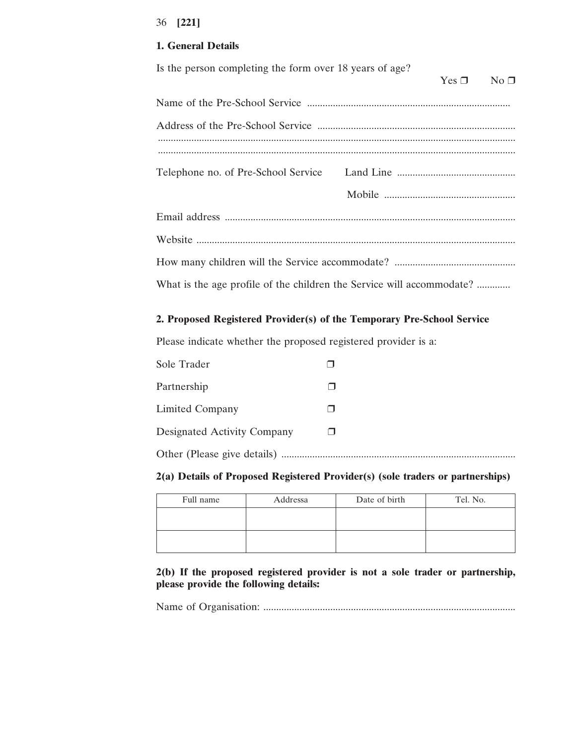# **1. General Details**

| Is the person completing the form over 18 years of age?               | $Yes \Box$ | $No \Box$ |
|-----------------------------------------------------------------------|------------|-----------|
|                                                                       |            |           |
|                                                                       |            |           |
|                                                                       |            |           |
|                                                                       |            |           |
|                                                                       |            |           |
|                                                                       |            |           |
|                                                                       |            |           |
|                                                                       |            |           |
| What is the age profile of the children the Service will accommodate? |            |           |

# **2. Proposed Registered Provider(s) of the Temporary Pre-School Service**

Please indicate whether the proposed registered provider is a:

| Sole Trader                 |  |
|-----------------------------|--|
| Partnership                 |  |
| Limited Company             |  |
| Designated Activity Company |  |
|                             |  |

## **2(a) Details of Proposed Registered Provider(s) (sole traders or partnerships)**

| Full name | Addressa | Date of birth | Tel. No. |
|-----------|----------|---------------|----------|
|           |          |               |          |
|           |          |               |          |
|           |          |               |          |

**2(b) If the proposed registered provider is not a sole trader or partnership, please provide the following details:**

Name of Organisation: ..................................................................................................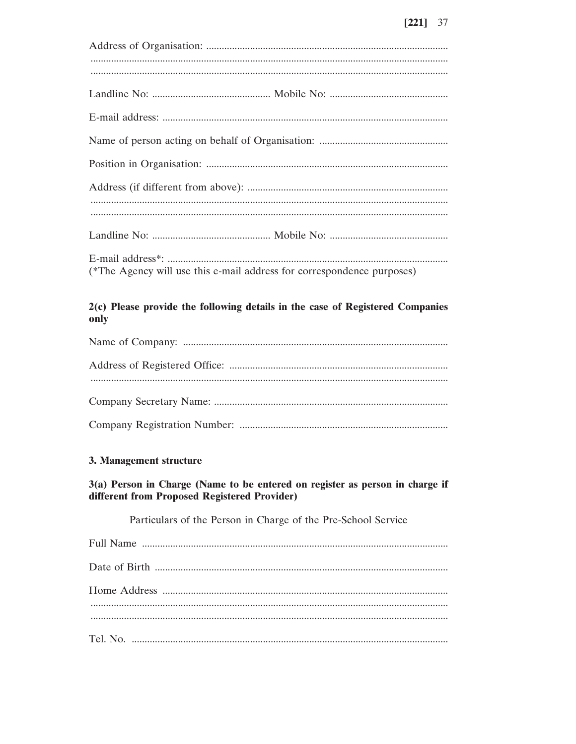| (*The Agency will use this e-mail address for correspondence purposes) |
|------------------------------------------------------------------------|

# 2(c) Please provide the following details in the case of Registered Companies only

# 3. Management structure

# 3(a) Person in Charge (Name to be entered on register as person in charge if different from Proposed Registered Provider)

Particulars of the Person in Charge of the Pre-School Service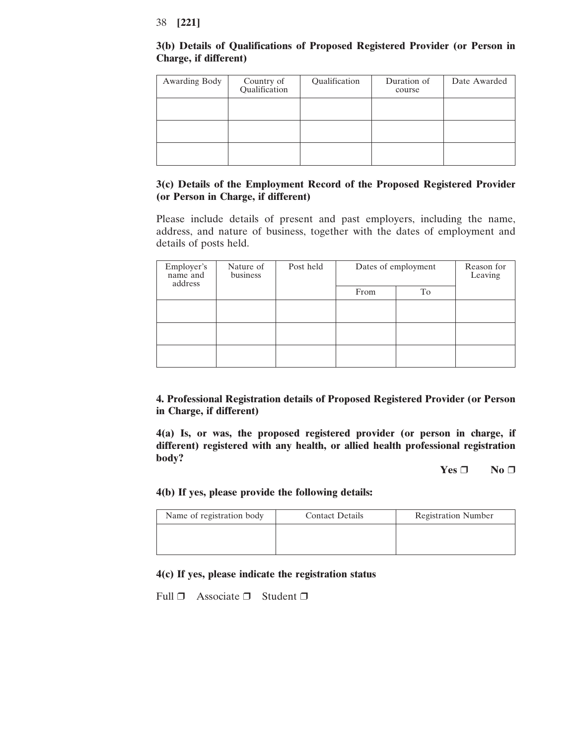# **3(b) Details of Qualifications of Proposed Registered Provider (or Person in Charge, if different)**

| Awarding Body | Country of<br>Qualification | Qualification | Duration of<br>course | Date Awarded |
|---------------|-----------------------------|---------------|-----------------------|--------------|
|               |                             |               |                       |              |
|               |                             |               |                       |              |
|               |                             |               |                       |              |

# **3(c) Details of the Employment Record of the Proposed Registered Provider (or Person in Charge, if different)**

Please include details of present and past employers, including the name, address, and nature of business, together with the dates of employment and details of posts held.

| Employer's<br>name and<br>address | Nature of<br>business | Post held | Dates of employment |    | Reason for<br>Leaving |
|-----------------------------------|-----------------------|-----------|---------------------|----|-----------------------|
|                                   |                       |           | From                | To |                       |
|                                   |                       |           |                     |    |                       |
|                                   |                       |           |                     |    |                       |
|                                   |                       |           |                     |    |                       |

**4. Professional Registration details of Proposed Registered Provider (or Person in Charge, if different)**

**4(a) Is, or was, the proposed registered provider (or person in charge, if different) registered with any health, or allied health professional registration body?**

**Yes** ❒ **No** ❒

# **4(b) If yes, please provide the following details:**

| Name of registration body | <b>Contact Details</b> | <b>Registration Number</b> |
|---------------------------|------------------------|----------------------------|
|                           |                        |                            |
|                           |                        |                            |

# **4(c) If yes, please indicate the registration status**

Full  $\Box$  Associate  $\Box$  Student  $\Box$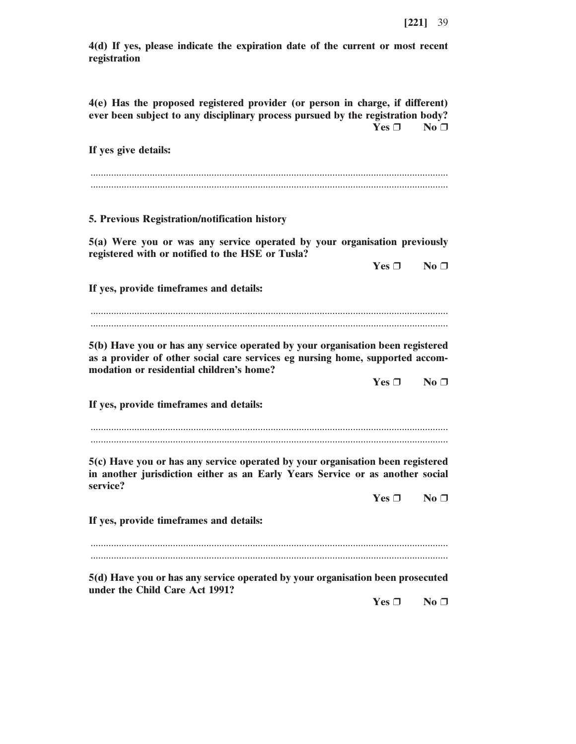**4(d) If yes, please indicate the expiration date of the current or most recent registration**

**4(e) Has the proposed registered provider (or person in charge, if different) ever been subject to any disciplinary process pursued by the registration body? Yes** ❒ **No** ❒

**If yes give details:**

........................................................................................................................................... ...........................................................................................................................................

**5. Previous Registration/notification history**

**5(a) Were you or was any service operated by your organisation previously registered with or notified to the HSE or Tusla?**

 $Yes \Box$  **No**  $\Box$ 

**If yes, provide timeframes and details:**

........................................................................................................................................... ...........................................................................................................................................

**5(b) Have you or has any service operated by your organisation been registered as a provider of other social care services eg nursing home, supported accommodation or residential children's home?**

**Yes** ❒ **No** ❒

**If yes, provide timeframes and details:**

........................................................................................................................................... ...........................................................................................................................................

**5(c) Have you or has any service operated by your organisation been registered in another jurisdiction either as an Early Years Service or as another social service?**

**Yes** ❒ **No** ❒

**If yes, provide timeframes and details:**

........................................................................................................................................... ...........................................................................................................................................

**5(d) Have you or has any service operated by your organisation been prosecuted under the Child Care Act 1991?**

**Yes** <del>□</del> **No □**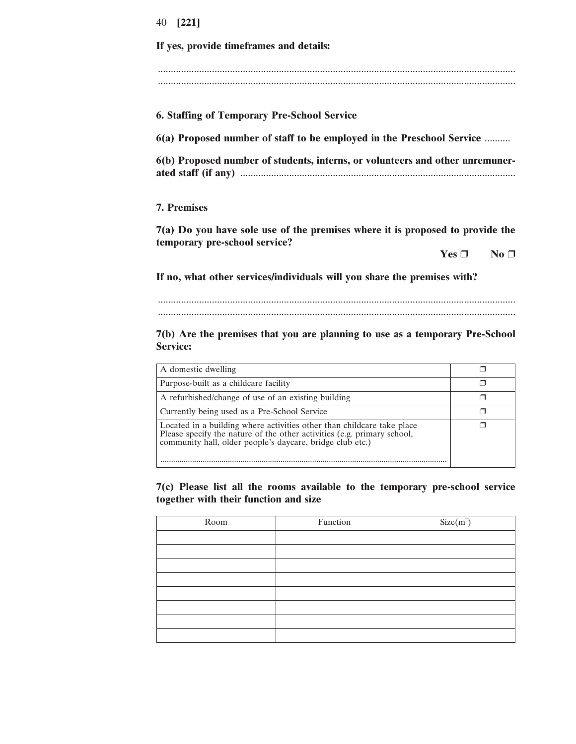# **If yes, provide timeframes and details:** ........................................................................................................................................... ........................................................................................................................................... **6. Staffing of Temporary Pre-School Service 6(a) Proposed number of staff to be employed in the Preschool Service** .......... **6(b) Proposed number of students, interns, or volunteers and other unremunerated staff (if any)** ........................................................................................................... **7. Premises**

**7(a) Do you have sole use of the premises where it is proposed to provide the temporary pre-school service?**

**Yes** ❒ **No** ❒

**If no, what other services/individuals will you share the premises with?**

........................................................................................................................................... ...........................................................................................................................................

**7(b) Are the premises that you are planning to use as a temporary Pre-School Service:**

| A domestic dwelling                                                                                                                                                                                            |  |
|----------------------------------------------------------------------------------------------------------------------------------------------------------------------------------------------------------------|--|
| Purpose-built as a childcare facility                                                                                                                                                                          |  |
| A refurbished/change of use of an existing building                                                                                                                                                            |  |
| Currently being used as a Pre-School Service                                                                                                                                                                   |  |
| Located in a building where activities other than childcare take place<br>Please specify the nature of the other activities (e.g. primary school,<br>community hall, older people's daycare, bridge club etc.) |  |

**7(c) Please list all the rooms available to the temporary pre-school service together with their function and size**

| Room | Function | $Size(m^2)$ |
|------|----------|-------------|
|      |          |             |
|      |          |             |
|      |          |             |
|      |          |             |
|      |          |             |
|      |          |             |
|      |          |             |
|      |          |             |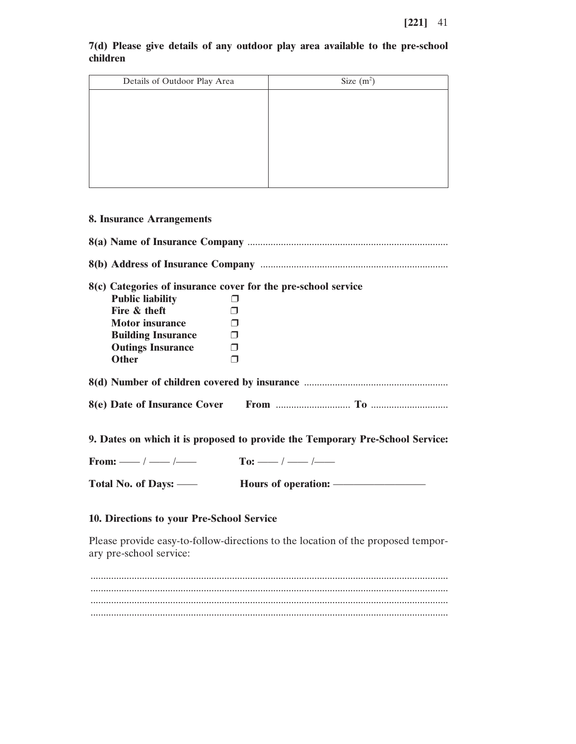|          |  |  |  |  |  | 7(d) Please give details of any outdoor play area available to the pre-school |  |
|----------|--|--|--|--|--|-------------------------------------------------------------------------------|--|
| children |  |  |  |  |  |                                                                               |  |

| Details of Outdoor Play Area | Size $(m^2)$ |
|------------------------------|--------------|
|                              |              |
|                              |              |
|                              |              |
|                              |              |
|                              |              |
|                              |              |
|                              |              |

# **8. Insurance Arrangements**

|                                     | 8(c) Categories of insurance cover for the pre-school service                 |
|-------------------------------------|-------------------------------------------------------------------------------|
| <b>Public liability</b>             |                                                                               |
| Fire & theft                        |                                                                               |
| <b>Motor insurance</b>              |                                                                               |
| <b>Building Insurance</b> □         |                                                                               |
| <b>Outings Insurance</b>            | $\Box$                                                                        |
| <b>Other</b>                        | $\Box$                                                                        |
|                                     |                                                                               |
|                                     |                                                                               |
|                                     | 9. Dates on which it is proposed to provide the Temporary Pre-School Service: |
| From: —— / —— / —— To: —— / —— / —— |                                                                               |
|                                     |                                                                               |
|                                     |                                                                               |

# **10. Directions to your Pre-School Service**

Please provide easy-to-follow-directions to the location of the proposed temporary pre-school service: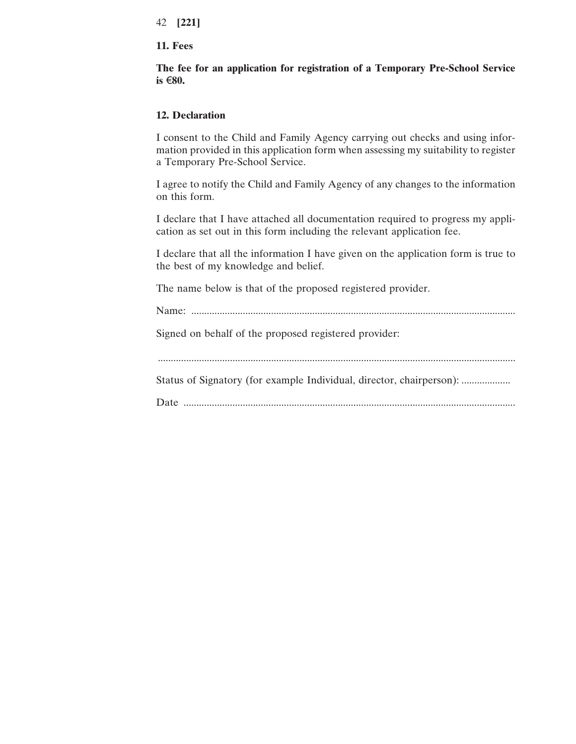#### **11. Fees**

**The fee for an application for registration of a Temporary Pre-School Service is** €**80.**

# **12. Declaration**

I consent to the Child and Family Agency carrying out checks and using information provided in this application form when assessing my suitability to register a Temporary Pre-School Service.

I agree to notify the Child and Family Agency of any changes to the information on this form.

I declare that I have attached all documentation required to progress my application as set out in this form including the relevant application fee.

I declare that all the information I have given on the application form is true to the best of my knowledge and belief.

The name below is that of the proposed registered provider.

Name: .............................................................................................................................. Signed on behalf of the proposed registered provider: ........................................................................................................................................... Status of Signatory (for example Individual, director, chairperson): ................... Date .................................................................................................................................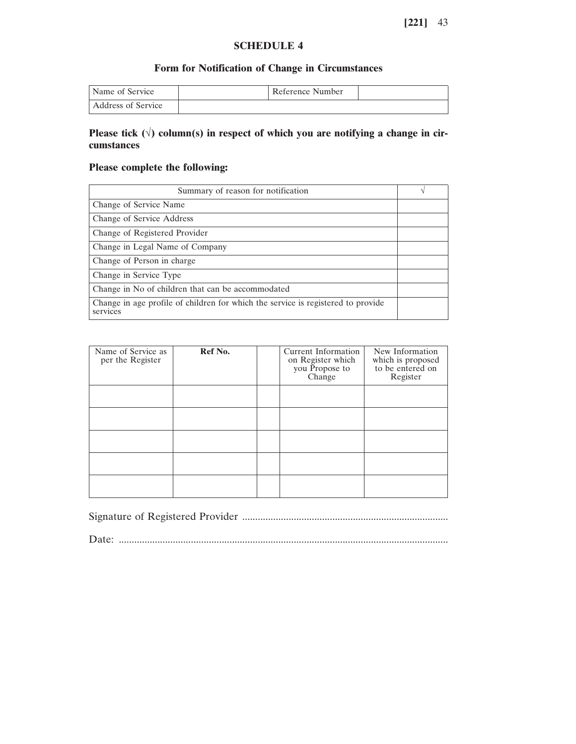# **SCHEDULE 4**

# **Form for Notification of Change in Circumstances**

| Name of Service    | Reference Number |  |
|--------------------|------------------|--|
| Address of Service |                  |  |

# **Please tick (**√**) column(s) in respect of which you are notifying a change in circumstances**

# **Please complete the following:**

| Summary of reason for notification                                                           |  |
|----------------------------------------------------------------------------------------------|--|
| Change of Service Name                                                                       |  |
| Change of Service Address                                                                    |  |
| Change of Registered Provider                                                                |  |
| Change in Legal Name of Company                                                              |  |
| Change of Person in charge                                                                   |  |
| Change in Service Type                                                                       |  |
| Change in No of children that can be accommodated                                            |  |
| Change in age profile of children for which the service is registered to provide<br>services |  |

| Name of Service as<br>per the Register | Ref No. | Current Information<br>on Register which<br>you Propose to<br>Change | New Information<br>which is proposed<br>to be entered on<br>Register |
|----------------------------------------|---------|----------------------------------------------------------------------|----------------------------------------------------------------------|
|                                        |         |                                                                      |                                                                      |
|                                        |         |                                                                      |                                                                      |
|                                        |         |                                                                      |                                                                      |
|                                        |         |                                                                      |                                                                      |
|                                        |         |                                                                      |                                                                      |

Signature of Registered Provider ................................................................................

Date: ................................................................................................................................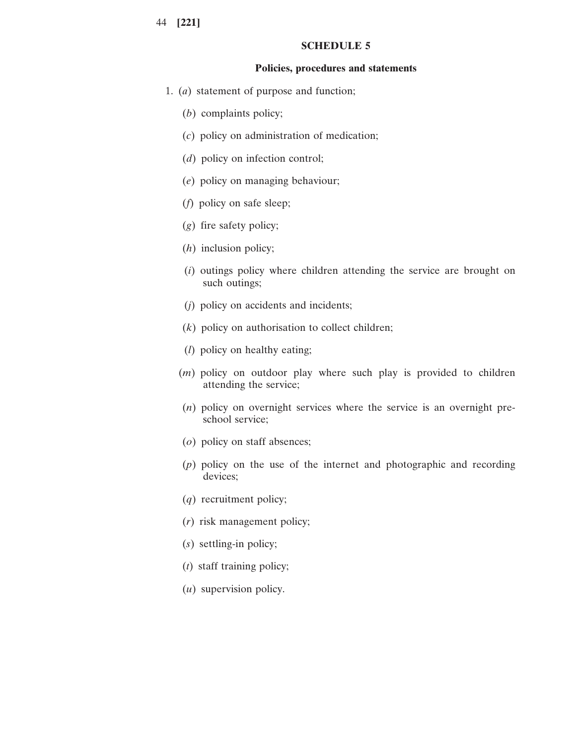#### **SCHEDULE 5**

#### **Policies, procedures and statements**

- 1. (*a*) statement of purpose and function;
	- (*b*) complaints policy;
	- (*c*) policy on administration of medication;
	- (*d*) policy on infection control;
	- (*e*) policy on managing behaviour;
	- (*f*) policy on safe sleep;
	- (*g*) fire safety policy;
	- (*h*) inclusion policy;
	- (*i*) outings policy where children attending the service are brought on such outings;
	- (*j*) policy on accidents and incidents;
	- (*k*) policy on authorisation to collect children;
	- (*l*) policy on healthy eating;
	- (*m*) policy on outdoor play where such play is provided to children attending the service;
	- (*n*) policy on overnight services where the service is an overnight preschool service;
	- (*o*) policy on staff absences;
	- (*p*) policy on the use of the internet and photographic and recording devices;
	- (*q*) recruitment policy;
	- (*r*) risk management policy;
	- (*s*) settling-in policy;
	- (*t*) staff training policy;
	- (*u*) supervision policy.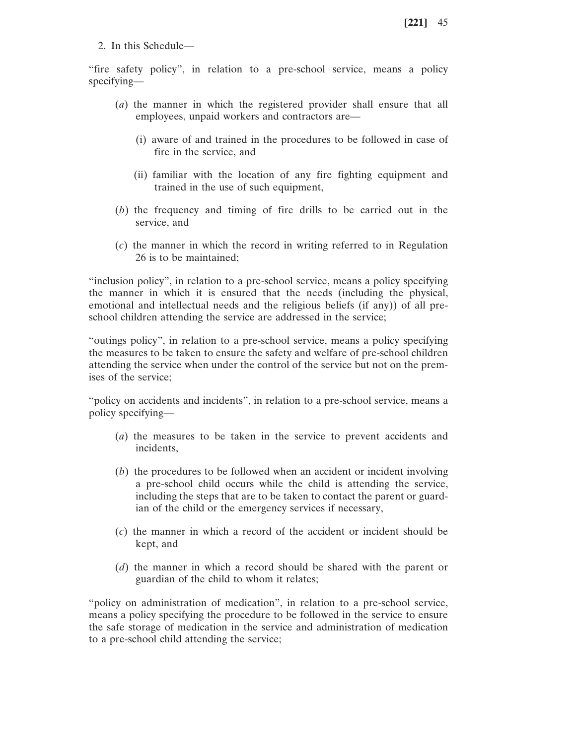2. In this Schedule—

"fire safety policy", in relation to a pre-school service, means a policy specifying—

- (*a*) the manner in which the registered provider shall ensure that all employees, unpaid workers and contractors are—
	- (i) aware of and trained in the procedures to be followed in case of fire in the service, and
	- (ii) familiar with the location of any fire fighting equipment and trained in the use of such equipment,
- (*b*) the frequency and timing of fire drills to be carried out in the service, and
- (*c*) the manner in which the record in writing referred to in Regulation 26 is to be maintained;

"inclusion policy", in relation to a pre-school service, means a policy specifying the manner in which it is ensured that the needs (including the physical, emotional and intellectual needs and the religious beliefs (if any)) of all preschool children attending the service are addressed in the service;

"outings policy", in relation to a pre-school service, means a policy specifying the measures to be taken to ensure the safety and welfare of pre-school children attending the service when under the control of the service but not on the premises of the service;

"policy on accidents and incidents", in relation to a pre-school service, means a policy specifying—

- (*a*) the measures to be taken in the service to prevent accidents and incidents,
- (*b*) the procedures to be followed when an accident or incident involving a pre-school child occurs while the child is attending the service, including the steps that are to be taken to contact the parent or guardian of the child or the emergency services if necessary,
- (*c*) the manner in which a record of the accident or incident should be kept, and
- (*d*) the manner in which a record should be shared with the parent or guardian of the child to whom it relates;

"policy on administration of medication", in relation to a pre-school service, means a policy specifying the procedure to be followed in the service to ensure the safe storage of medication in the service and administration of medication to a pre-school child attending the service;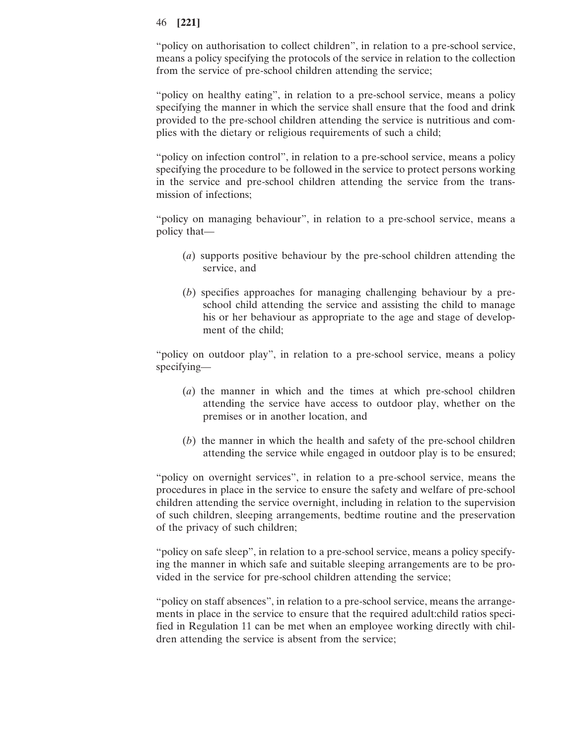"policy on authorisation to collect children", in relation to a pre-school service, means a policy specifying the protocols of the service in relation to the collection from the service of pre-school children attending the service;

"policy on healthy eating", in relation to a pre-school service, means a policy specifying the manner in which the service shall ensure that the food and drink provided to the pre-school children attending the service is nutritious and complies with the dietary or religious requirements of such a child;

"policy on infection control", in relation to a pre-school service, means a policy specifying the procedure to be followed in the service to protect persons working in the service and pre-school children attending the service from the transmission of infections;

"policy on managing behaviour", in relation to a pre-school service, means a policy that—

- (*a*) supports positive behaviour by the pre-school children attending the service, and
- (*b*) specifies approaches for managing challenging behaviour by a preschool child attending the service and assisting the child to manage his or her behaviour as appropriate to the age and stage of development of the child;

"policy on outdoor play", in relation to a pre-school service, means a policy specifying—

- (*a*) the manner in which and the times at which pre-school children attending the service have access to outdoor play, whether on the premises or in another location, and
- (*b*) the manner in which the health and safety of the pre-school children attending the service while engaged in outdoor play is to be ensured;

"policy on overnight services", in relation to a pre-school service, means the procedures in place in the service to ensure the safety and welfare of pre-school children attending the service overnight, including in relation to the supervision of such children, sleeping arrangements, bedtime routine and the preservation of the privacy of such children;

"policy on safe sleep", in relation to a pre-school service, means a policy specifying the manner in which safe and suitable sleeping arrangements are to be provided in the service for pre-school children attending the service;

"policy on staff absences", in relation to a pre-school service, means the arrangements in place in the service to ensure that the required adult:child ratios specified in Regulation 11 can be met when an employee working directly with children attending the service is absent from the service;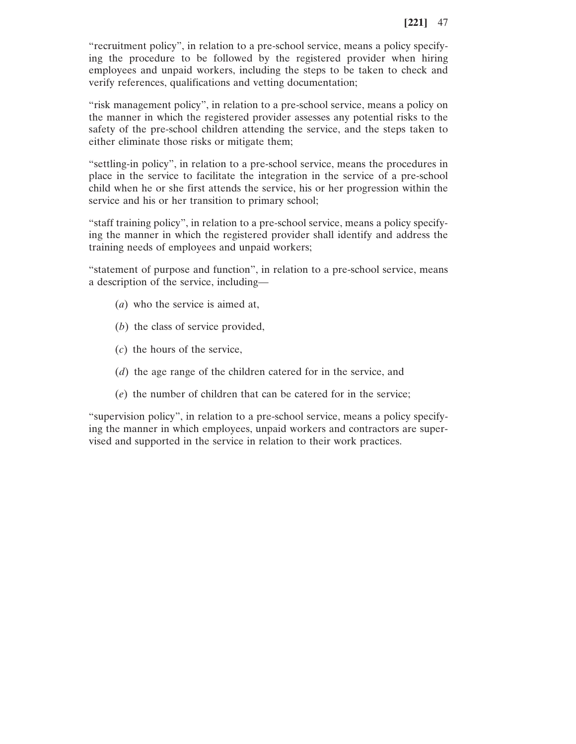"recruitment policy", in relation to a pre-school service, means a policy specifying the procedure to be followed by the registered provider when hiring employees and unpaid workers, including the steps to be taken to check and verify references, qualifications and vetting documentation;

"risk management policy", in relation to a pre-school service, means a policy on the manner in which the registered provider assesses any potential risks to the safety of the pre-school children attending the service, and the steps taken to either eliminate those risks or mitigate them;

"settling-in policy", in relation to a pre-school service, means the procedures in place in the service to facilitate the integration in the service of a pre-school child when he or she first attends the service, his or her progression within the service and his or her transition to primary school;

"staff training policy", in relation to a pre-school service, means a policy specifying the manner in which the registered provider shall identify and address the training needs of employees and unpaid workers;

"statement of purpose and function", in relation to a pre-school service, means a description of the service, including—

- (*a*) who the service is aimed at,
- (*b*) the class of service provided,
- (*c*) the hours of the service,
- (*d*) the age range of the children catered for in the service, and
- (*e*) the number of children that can be catered for in the service;

"supervision policy", in relation to a pre-school service, means a policy specifying the manner in which employees, unpaid workers and contractors are supervised and supported in the service in relation to their work practices.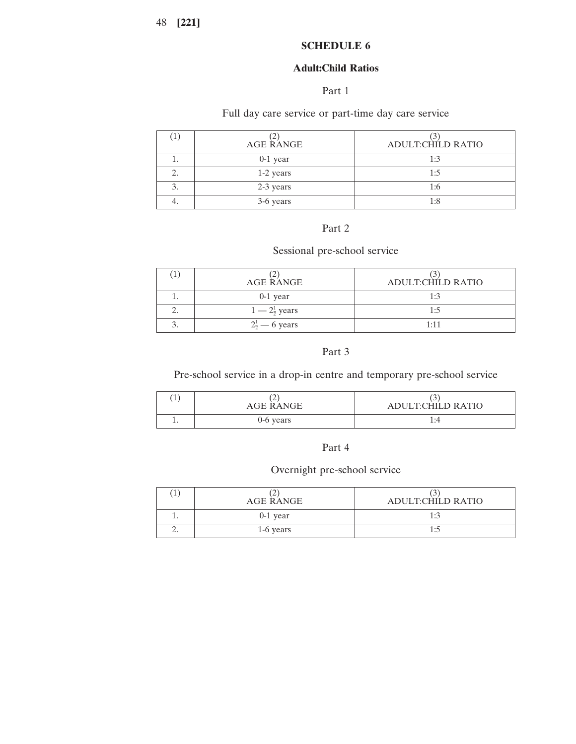# **SCHEDULE 6**

# **Adult:Child Ratios**

# Part 1

# Full day care service or part-time day care service

| $\pm$ | AGE RANGE  | ADULT:CHILD RATIO |
|-------|------------|-------------------|
|       | $0-1$ year | 1:3               |
| 2.    | 1-2 years  | 1:5               |
|       | 2-3 years  | 1:6               |
| т.    | 3-6 years  | 1:8               |

# Part 2

# Sessional pre-school service

| AGE RANGE                | ADULT:CHILD RATIO |
|--------------------------|-------------------|
| $0-1$ year               | 1:3               |
| $1-2\frac{1}{2}$ years   | 1.5               |
| $2\frac{1}{2}$ – 6 years | 1 • 1 1           |

# Part 3

# Pre-school service in a drop-in centre and temporary pre-school service

| ÷. | -<br>AGE RANGE | ADULT:CHILD RATIO |
|----|----------------|-------------------|
|    | $0-6$ years    | ı:4               |

#### Part 4

# Overnight pre-school service

| AGE RANGE  | ADULT:CHILD RATIO |
|------------|-------------------|
| $0-1$ year | 1:3               |
| 1-6 years  | $\cdot$           |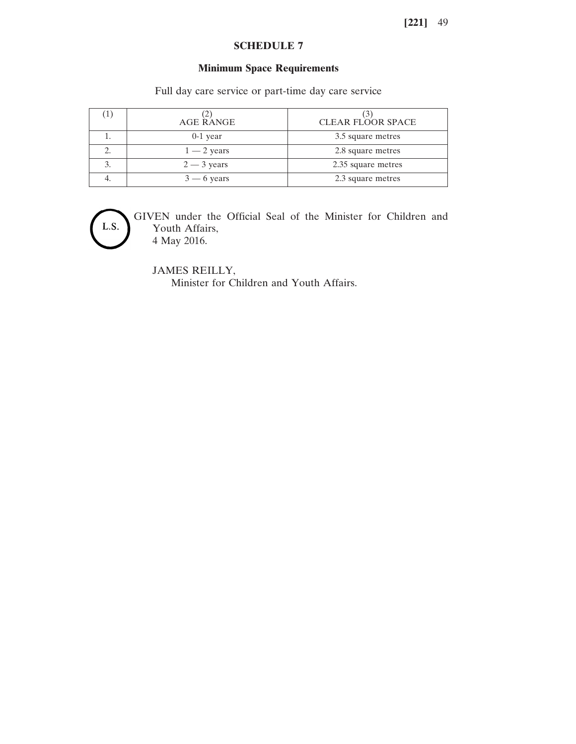# **SCHEDULE 7**

# **Minimum Space Requirements**

Full day care service or part-time day care service

| AGE RANGE     | CLEAR FLOOR SPACE  |
|---------------|--------------------|
| $0-1$ year    | 3.5 square metres  |
| $1 - 2$ years | 2.8 square metres  |
| $2 - 3$ years | 2.35 square metres |
| $3 - 6$ years | 2.3 square metres  |



GIVEN under the Official Seal of the Minister for Children and Youth Affairs, 4 May 2016.

JAMES REILLY, Minister for Children and Youth Affairs.